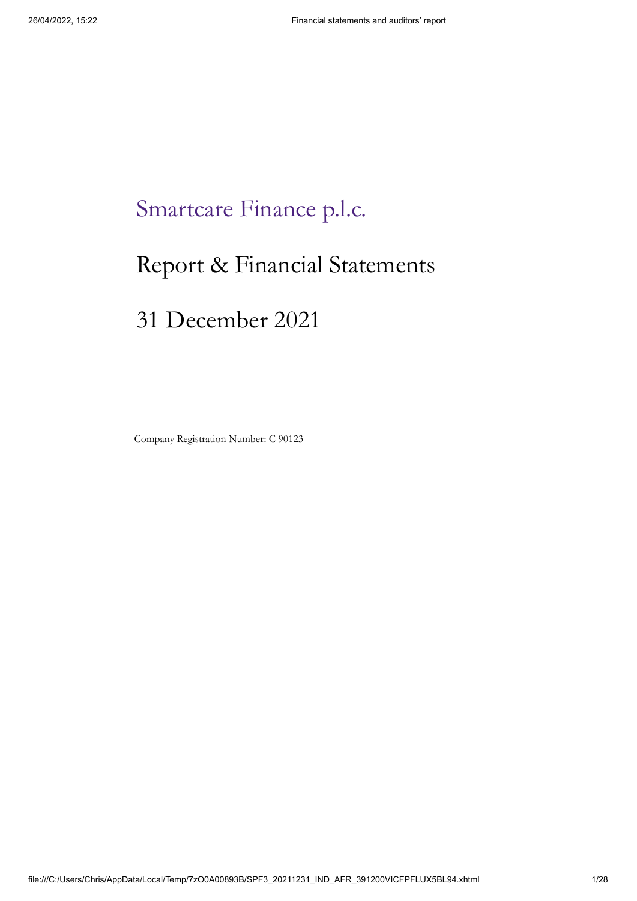# Smartcare Finance p.l.c.

# Report & Financial Statements

# 31 December 2021

Company Registration Number: C 90123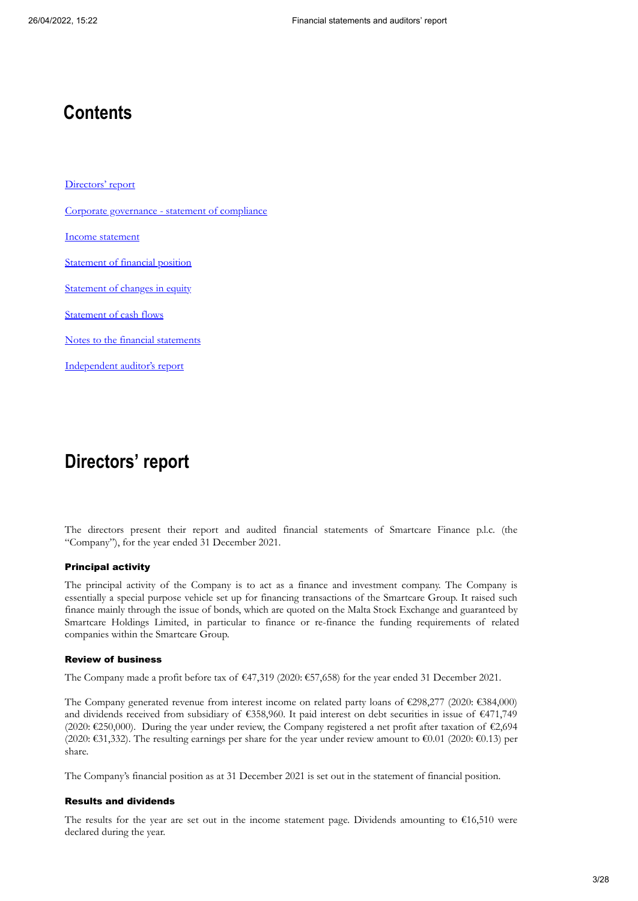### **Contents**

[Directors'](#page-2-0) report

Corporate [governance](#page-4-0) - statement of compliance

Income [statement](#page-9-0)

[Statement](#page-9-1) of financial position

[Statement](#page-10-0) of changes in equity

[Statement](#page-11-0) of cash flows

Notes to the financial [statements](#page-11-1)

[Independent](#page-22-0) auditor's report

### <span id="page-2-0"></span>**Directors' report**

The directors present their report and audited financial statements of Smartcare Finance p.l.c. (the "Company"), for the year ended 31 December 2021.

#### Principal activity

The principal activity of the Company is to act as a finance and investment company. The Company is essentially a special purpose vehicle set up for financing transactions of the Smartcare Group. It raised such finance mainly through the issue of bonds, which are quoted on the Malta Stock Exchange and guaranteed by Smartcare Holdings Limited, in particular to finance or re-finance the funding requirements of related companies within the Smartcare Group.

#### Review of business

The Company made a profit before tax of €47,319 (2020: €57,658) for the year ended 31 December 2021.

The Company generated revenue from interest income on related party loans of €298,277 (2020: €384,000) and dividends received from subsidiary of €358,960. It paid interest on debt securities in issue of €471,749 (2020: €250,000). During the year under review, the Company registered a net profit after taxation of €2,694 (2020:  $\epsilon$ 31,332). The resulting earnings per share for the year under review amount to  $\epsilon$ 0.01 (2020:  $\epsilon$ 0.13) per share.

The Company's financial position as at 31 December 2021 is set out in the statement of financial position.

#### Results and dividends

The results for the year are set out in the income statement page. Dividends amounting to  $\epsilon$ 16,510 were declared during the year.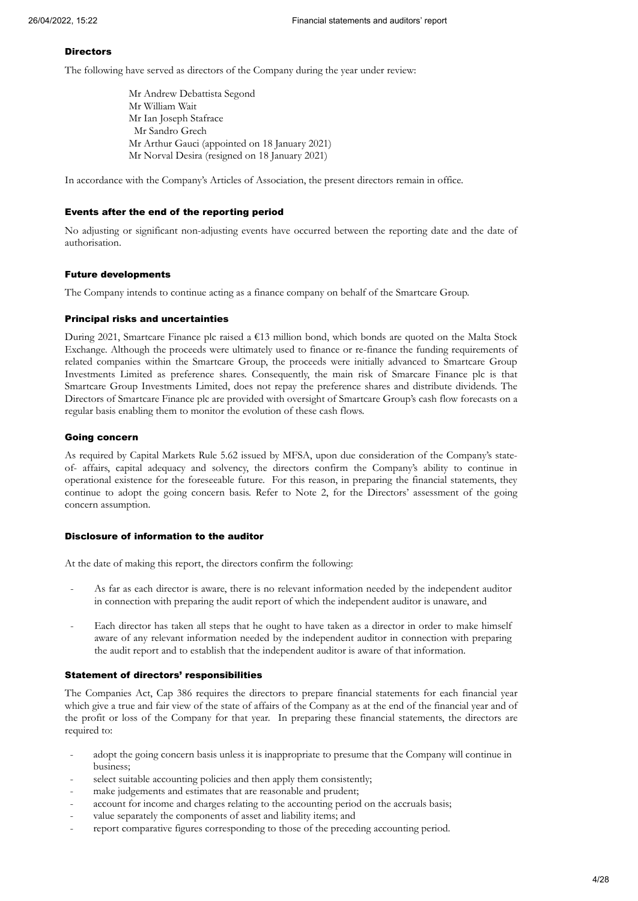#### **Directors**

The following have served as directors of the Company during the year under review:

Mr Andrew Debattista Segond Mr William Wait Mr Ian Joseph Stafrace Mr Sandro Grech Mr Arthur Gauci (appointed on 18 January 2021) Mr Norval Desira (resigned on 18 January 2021)

In accordance with the Company's Articles of Association, the present directors remain in office.

#### Events after the end of the reporting period

No adjusting or significant non-adjusting events have occurred between the reporting date and the date of authorisation.

#### Future developments

The Company intends to continue acting as a finance company on behalf of the Smartcare Group.

#### Principal risks and uncertainties

During 2021, Smartcare Finance plc raised a €13 million bond, which bonds are quoted on the Malta Stock Exchange. Although the proceeds were ultimately used to finance or re-finance the funding requirements of related companies within the Smartcare Group, the proceeds were initially advanced to Smartcare Group Investments Limited as preference shares. Consequently, the main risk of Smarcare Finance plc is that Smartcare Group Investments Limited, does not repay the preference shares and distribute dividends. The Directors of Smartcare Finance plc are provided with oversight of Smartcare Group's cash flow forecasts on a regular basis enabling them to monitor the evolution of these cash flows.

#### Going concern

As required by Capital Markets Rule 5.62 issued by MFSA, upon due consideration of the Company's stateof- affairs, capital adequacy and solvency, the directors confirm the Company's ability to continue in operational existence for the foreseeable future. For this reason, in preparing the financial statements, they continue to adopt the going concern basis. Refer to Note 2, for the Directors' assessment of the going concern assumption.

#### Disclosure of information to the auditor

At the date of making this report, the directors confirm the following:

- As far as each director is aware, there is no relevant information needed by the independent auditor in connection with preparing the audit report of which the independent auditor is unaware, and
- Each director has taken all steps that he ought to have taken as a director in order to make himself aware of any relevant information needed by the independent auditor in connection with preparing the audit report and to establish that the independent auditor is aware of that information.

#### Statement of directors' responsibilities

The Companies Act, Cap 386 requires the directors to prepare financial statements for each financial year which give a true and fair view of the state of affairs of the Company as at the end of the financial year and of the profit or loss of the Company for that year. In preparing these financial statements, the directors are required to:

- adopt the going concern basis unless it is inappropriate to presume that the Company will continue in business;
- select suitable accounting policies and then apply them consistently;
- make judgements and estimates that are reasonable and prudent;
- account for income and charges relating to the accounting period on the accruals basis;
- value separately the components of asset and liability items; and
- report comparative figures corresponding to those of the preceding accounting period.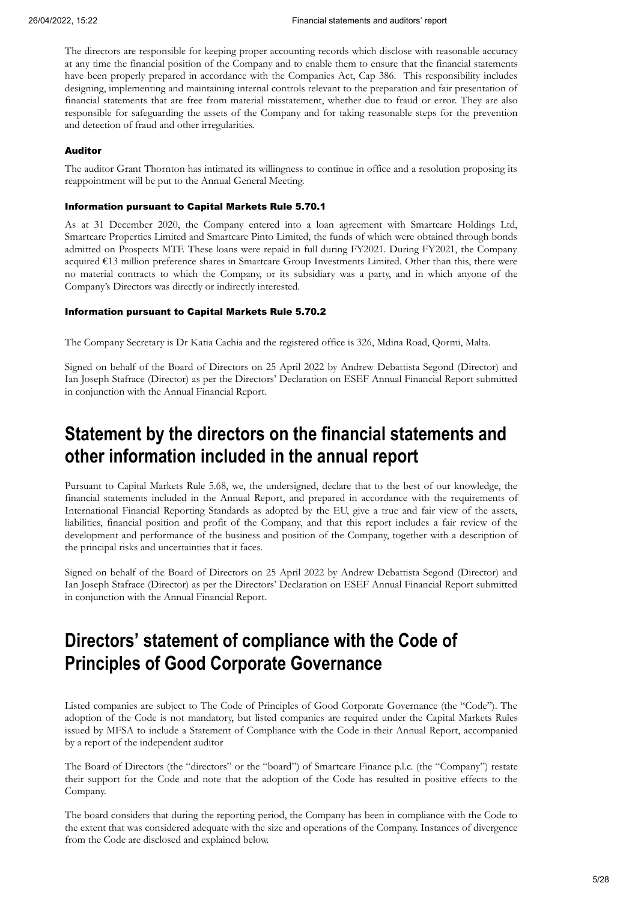The directors are responsible for keeping proper accounting records which disclose with reasonable accuracy at any time the financial position of the Company and to enable them to ensure that the financial statements have been properly prepared in accordance with the Companies Act, Cap 386. This responsibility includes designing, implementing and maintaining internal controls relevant to the preparation and fair presentation of financial statements that are free from material misstatement, whether due to fraud or error. They are also responsible for safeguarding the assets of the Company and for taking reasonable steps for the prevention and detection of fraud and other irregularities.

#### Auditor

The auditor Grant Thornton has intimated its willingness to continue in office and a resolution proposing its reappointment will be put to the Annual General Meeting.

#### Information pursuant to Capital Markets Rule 5.70.1

As at 31 December 2020, the Company entered into a loan agreement with Smartcare Holdings Ltd, Smartcare Properties Limited and Smartcare Pinto Limited, the funds of which were obtained through bonds admitted on Prospects MTF. These loans were repaid in full during FY2021. During FY2021, the Company acquired €13 million preference shares in Smartcare Group Investments Limited. Other than this, there were no material contracts to which the Company, or its subsidiary was a party, and in which anyone of the Company's Directors was directly or indirectly interested.

#### Information pursuant to Capital Markets Rule 5.70.2

The Company Secretary is Dr Katia Cachia and the registered office is 326, Mdina Road, Qormi, Malta.

Signed on behalf of the Board of Directors on 25 April 2022 by Andrew Debattista Segond (Director) and Ian Joseph Stafrace (Director) as per the Directors' Declaration on ESEF Annual Financial Report submitted in conjunction with the Annual Financial Report.

### **Statement by the directors on the financial statements and other information included in the annual report**

Pursuant to Capital Markets Rule 5.68, we, the undersigned, declare that to the best of our knowledge, the financial statements included in the Annual Report, and prepared in accordance with the requirements of International Financial Reporting Standards as adopted by the EU, give a true and fair view of the assets, liabilities, financial position and profit of the Company, and that this report includes a fair review of the development and performance of the business and position of the Company, together with a description of the principal risks and uncertainties that it faces.

Signed on behalf of the Board of Directors on 25 April 2022 by Andrew Debattista Segond (Director) and Ian Joseph Stafrace (Director) as per the Directors' Declaration on ESEF Annual Financial Report submitted in conjunction with the Annual Financial Report.

### <span id="page-4-0"></span>**Directors' statement of compliance with the Code of Principles of Good Corporate Governance**

Listed companies are subject to The Code of Principles of Good Corporate Governance (the "Code"). The adoption of the Code is not mandatory, but listed companies are required under the Capital Markets Rules issued by MFSA to include a Statement of Compliance with the Code in their Annual Report, accompanied by a report of the independent auditor

The Board of Directors (the "directors" or the "board") of Smartcare Finance p.l.c. (the "Company") restate their support for the Code and note that the adoption of the Code has resulted in positive effects to the Company.

The board considers that during the reporting period, the Company has been in compliance with the Code to the extent that was considered adequate with the size and operations of the Company. Instances of divergence from the Code are disclosed and explained below.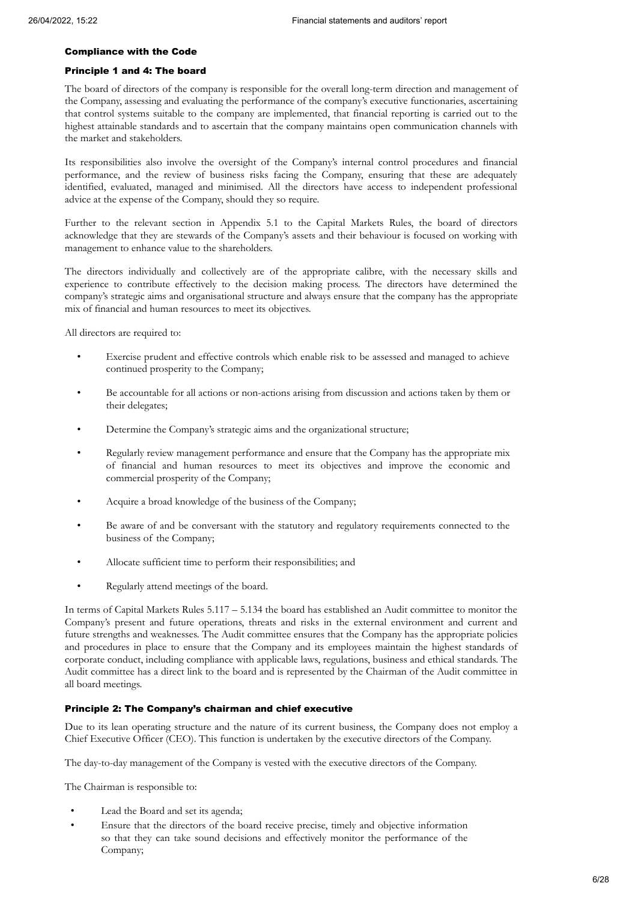#### Compliance with the Code

#### Principle 1 and 4: The board

The board of directors of the company is responsible for the overall long-term direction and management of the Company, assessing and evaluating the performance of the company's executive functionaries, ascertaining that control systems suitable to the company are implemented, that financial reporting is carried out to the highest attainable standards and to ascertain that the company maintains open communication channels with the market and stakeholders.

Its responsibilities also involve the oversight of the Company's internal control procedures and financial performance, and the review of business risks facing the Company, ensuring that these are adequately identified, evaluated, managed and minimised. All the directors have access to independent professional advice at the expense of the Company, should they so require.

Further to the relevant section in Appendix 5.1 to the Capital Markets Rules, the board of directors acknowledge that they are stewards of the Company's assets and their behaviour is focused on working with management to enhance value to the shareholders.

The directors individually and collectively are of the appropriate calibre, with the necessary skills and experience to contribute effectively to the decision making process. The directors have determined the company's strategic aims and organisational structure and always ensure that the company has the appropriate mix of financial and human resources to meet its objectives.

All directors are required to:

- Exercise prudent and effective controls which enable risk to be assessed and managed to achieve continued prosperity to the Company;
- Be accountable for all actions or non-actions arising from discussion and actions taken by them or their delegates;
- Determine the Company's strategic aims and the organizational structure;
- Regularly review management performance and ensure that the Company has the appropriate mix of financial and human resources to meet its objectives and improve the economic and commercial prosperity of the Company;
- Acquire a broad knowledge of the business of the Company;
- Be aware of and be conversant with the statutory and regulatory requirements connected to the business of the Company;
- Allocate sufficient time to perform their responsibilities; and
- Regularly attend meetings of the board.

In terms of Capital Markets Rules 5.117 – 5.134 the board has established an Audit committee to monitor the Company's present and future operations, threats and risks in the external environment and current and future strengths and weaknesses. The Audit committee ensures that the Company has the appropriate policies and procedures in place to ensure that the Company and its employees maintain the highest standards of corporate conduct, including compliance with applicable laws, regulations, business and ethical standards. The Audit committee has a direct link to the board and is represented by the Chairman of the Audit committee in all board meetings.

#### Principle 2: The Company's chairman and chief executive

Due to its lean operating structure and the nature of its current business, the Company does not employ a Chief Executive Officer (CEO). This function is undertaken by the executive directors of the Company.

The day-to-day management of the Company is vested with the executive directors of the Company.

The Chairman is responsible to:

- Lead the Board and set its agenda;
- Ensure that the directors of the board receive precise, timely and objective information so that they can take sound decisions and effectively monitor the performance of the Company;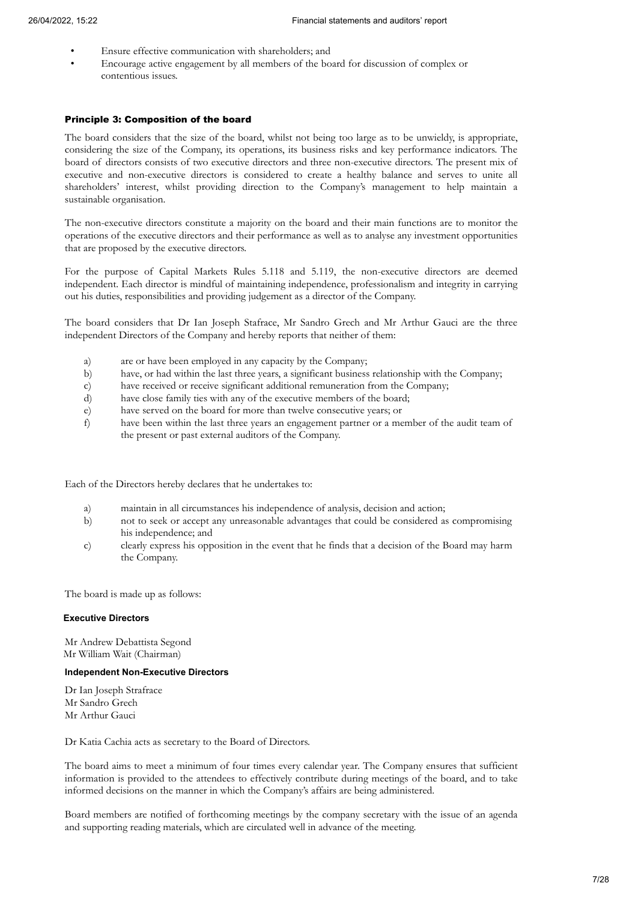- Ensure effective communication with shareholders; and
- Encourage active engagement by all members of the board for discussion of complex or contentious issues.

#### Principle 3: Composition of the board

The board considers that the size of the board, whilst not being too large as to be unwieldy, is appropriate, considering the size of the Company, its operations, its business risks and key performance indicators. The board of directors consists of two executive directors and three non-executive directors. The present mix of executive and non-executive directors is considered to create a healthy balance and serves to unite all shareholders' interest, whilst providing direction to the Company's management to help maintain a sustainable organisation.

The non-executive directors constitute a majority on the board and their main functions are to monitor the operations of the executive directors and their performance as well as to analyse any investment opportunities that are proposed by the executive directors.

For the purpose of Capital Markets Rules 5.118 and 5.119, the non-executive directors are deemed independent. Each director is mindful of maintaining independence, professionalism and integrity in carrying out his duties, responsibilities and providing judgement as a director of the Company.

The board considers that Dr Ian Joseph Stafrace, Mr Sandro Grech and Mr Arthur Gauci are the three independent Directors of the Company and hereby reports that neither of them:

- a) are or have been employed in any capacity by the Company;
- b) have, or had within the last three years, a significant business relationship with the Company;
- c) have received or receive significant additional remuneration from the Company;
- d) have close family ties with any of the executive members of the board;
- e) have served on the board for more than twelve consecutive years; or have been within the last three years an engagement partner or a me
- have been within the last three years an engagement partner or a member of the audit team of the present or past external auditors of the Company.

Each of the Directors hereby declares that he undertakes to:

- a) maintain in all circumstances his independence of analysis, decision and action;
- b) not to seek or accept any unreasonable advantages that could be considered as compromising his independence; and
- c) clearly express his opposition in the event that he finds that a decision of the Board may harm the Company.

The board is made up as follows:

#### **Executive Directors**

Mr Andrew Debattista Segond Mr William Wait (Chairman)

#### **Independent Non-Executive Directors**

Dr Ian Joseph Strafrace Mr Sandro Grech Mr Arthur Gauci

Dr Katia Cachia acts as secretary to the Board of Directors.

The board aims to meet a minimum of four times every calendar year. The Company ensures that sufficient information is provided to the attendees to effectively contribute during meetings of the board, and to take informed decisions on the manner in which the Company's affairs are being administered.

Board members are notified of forthcoming meetings by the company secretary with the issue of an agenda and supporting reading materials, which are circulated well in advance of the meeting.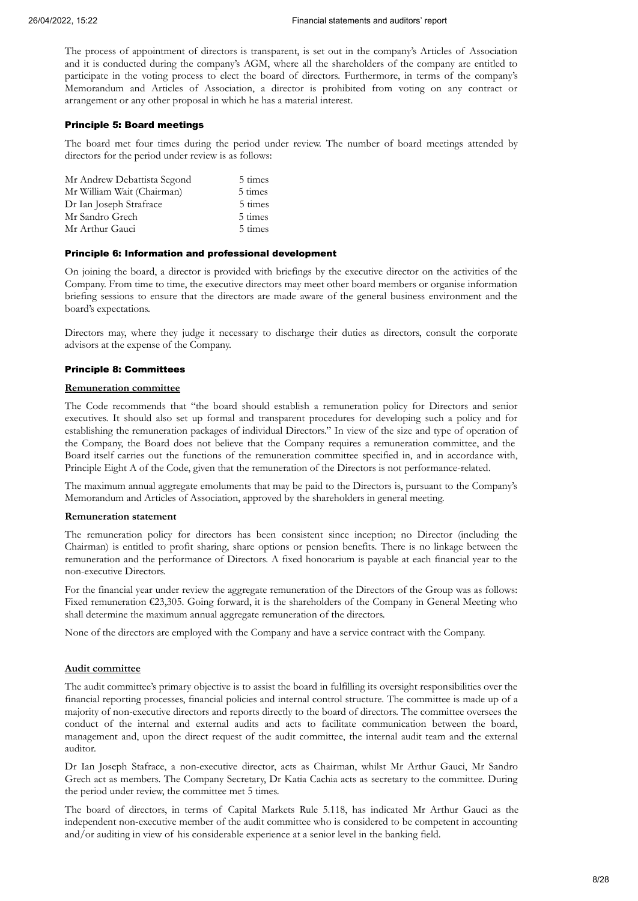The process of appointment of directors is transparent, is set out in the company's Articles of Association and it is conducted during the company's AGM, where all the shareholders of the company are entitled to participate in the voting process to elect the board of directors. Furthermore, in terms of the company's Memorandum and Articles of Association, a director is prohibited from voting on any contract or arrangement or any other proposal in which he has a material interest.

#### Principle 5: Board meetings

The board met four times during the period under review. The number of board meetings attended by directors for the period under review is as follows:

| Mr Andrew Debattista Segond | 5 times |
|-----------------------------|---------|
| Mr William Wait (Chairman)  | 5 times |
| Dr Ian Joseph Strafrace     | 5 times |
| Mr Sandro Grech             | 5 times |
| Mr Arthur Gauci             | 5 times |

#### Principle 6: Information and professional development

On joining the board, a director is provided with briefings by the executive director on the activities of the Company. From time to time, the executive directors may meet other board members or organise information briefing sessions to ensure that the directors are made aware of the general business environment and the board's expectations.

Directors may, where they judge it necessary to discharge their duties as directors, consult the corporate advisors at the expense of the Company.

#### Principle 8: Committees

#### **Remuneration committee**

The Code recommends that "the board should establish a remuneration policy for Directors and senior executives. It should also set up formal and transparent procedures for developing such a policy and for establishing the remuneration packages of individual Directors." In view of the size and type of operation of the Company, the Board does not believe that the Company requires a remuneration committee, and the Board itself carries out the functions of the remuneration committee specified in, and in accordance with, Principle Eight A of the Code, given that the remuneration of the Directors is not performance-related.

The maximum annual aggregate emoluments that may be paid to the Directors is, pursuant to the Company's Memorandum and Articles of Association, approved by the shareholders in general meeting.

#### **Remuneration statement**

The remuneration policy for directors has been consistent since inception; no Director (including the Chairman) is entitled to profit sharing, share options or pension benefits. There is no linkage between the remuneration and the performance of Directors. A fixed honorarium is payable at each financial year to the non-executive Directors.

For the financial year under review the aggregate remuneration of the Directors of the Group was as follows: Fixed remuneration €23,305. Going forward, it is the shareholders of the Company in General Meeting who shall determine the maximum annual aggregate remuneration of the directors.

None of the directors are employed with the Company and have a service contract with the Company.

#### **Audit committee**

The audit committee's primary objective is to assist the board in fulfilling its oversight responsibilities over the financial reporting processes, financial policies and internal control structure. The committee is made up of a majority of non-executive directors and reports directly to the board of directors. The committee oversees the conduct of the internal and external audits and acts to facilitate communication between the board, management and, upon the direct request of the audit committee, the internal audit team and the external auditor.

Dr Ian Joseph Stafrace, a non-executive director, acts as Chairman, whilst Mr Arthur Gauci, Mr Sandro Grech act as members. The Company Secretary, Dr Katia Cachia acts as secretary to the committee. During the period under review, the committee met 5 times.

The board of directors, in terms of Capital Markets Rule 5.118, has indicated Mr Arthur Gauci as the independent non-executive member of the audit committee who is considered to be competent in accounting and/or auditing in view of his considerable experience at a senior level in the banking field.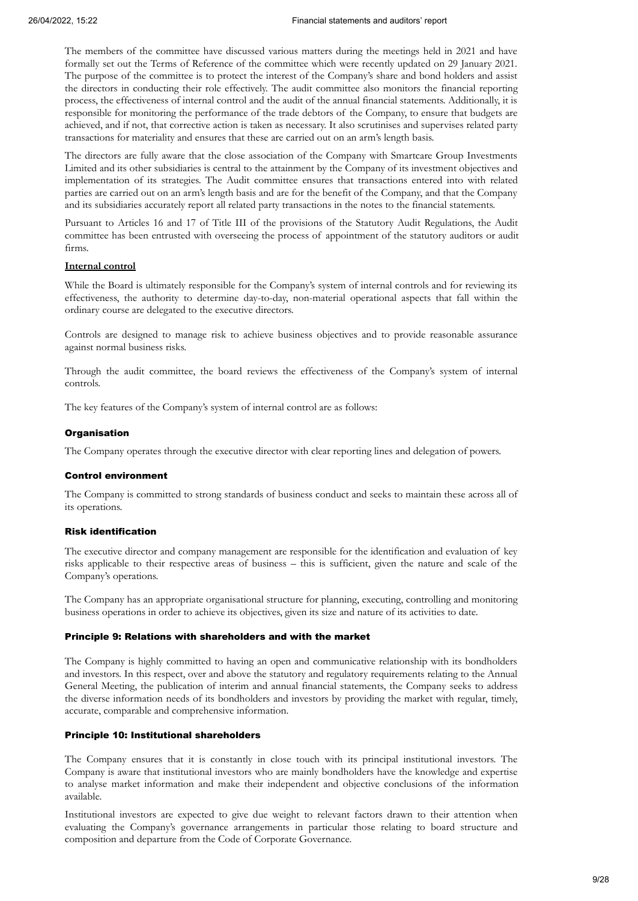The members of the committee have discussed various matters during the meetings held in 2021 and have formally set out the Terms of Reference of the committee which were recently updated on 29 January 2021. The purpose of the committee is to protect the interest of the Company's share and bond holders and assist the directors in conducting their role effectively. The audit committee also monitors the financial reporting process, the effectiveness of internal control and the audit of the annual financial statements. Additionally, it is responsible for monitoring the performance of the trade debtors of the Company, to ensure that budgets are achieved, and if not, that corrective action is taken as necessary. It also scrutinises and supervises related party transactions for materiality and ensures that these are carried out on an arm's length basis.

The directors are fully aware that the close association of the Company with Smartcare Group Investments Limited and its other subsidiaries is central to the attainment by the Company of its investment objectives and implementation of its strategies. The Audit committee ensures that transactions entered into with related parties are carried out on an arm's length basis and are for the benefit of the Company, and that the Company and its subsidiaries accurately report all related party transactions in the notes to the financial statements.

Pursuant to Articles 16 and 17 of Title III of the provisions of the Statutory Audit Regulations, the Audit committee has been entrusted with overseeing the process of appointment of the statutory auditors or audit firms.

#### **Internal control**

While the Board is ultimately responsible for the Company's system of internal controls and for reviewing its effectiveness, the authority to determine day-to-day, non-material operational aspects that fall within the ordinary course are delegated to the executive directors.

Controls are designed to manage risk to achieve business objectives and to provide reasonable assurance against normal business risks.

Through the audit committee, the board reviews the effectiveness of the Company's system of internal controls.

The key features of the Company's system of internal control are as follows:

#### **Organisation**

The Company operates through the executive director with clear reporting lines and delegation of powers.

#### Control environment

The Company is committed to strong standards of business conduct and seeks to maintain these across all of its operations.

#### Risk identification

The executive director and company management are responsible for the identification and evaluation of key risks applicable to their respective areas of business – this is sufficient, given the nature and scale of the Company's operations.

The Company has an appropriate organisational structure for planning, executing, controlling and monitoring business operations in order to achieve its objectives, given its size and nature of its activities to date.

#### Principle 9: Relations with shareholders and with the market

The Company is highly committed to having an open and communicative relationship with its bondholders and investors. In this respect, over and above the statutory and regulatory requirements relating to the Annual General Meeting, the publication of interim and annual financial statements, the Company seeks to address the diverse information needs of its bondholders and investors by providing the market with regular, timely, accurate, comparable and comprehensive information.

#### Principle 10: Institutional shareholders

The Company ensures that it is constantly in close touch with its principal institutional investors. The Company is aware that institutional investors who are mainly bondholders have the knowledge and expertise to analyse market information and make their independent and objective conclusions of the information available.

Institutional investors are expected to give due weight to relevant factors drawn to their attention when evaluating the Company's governance arrangements in particular those relating to board structure and composition and departure from the Code of Corporate Governance.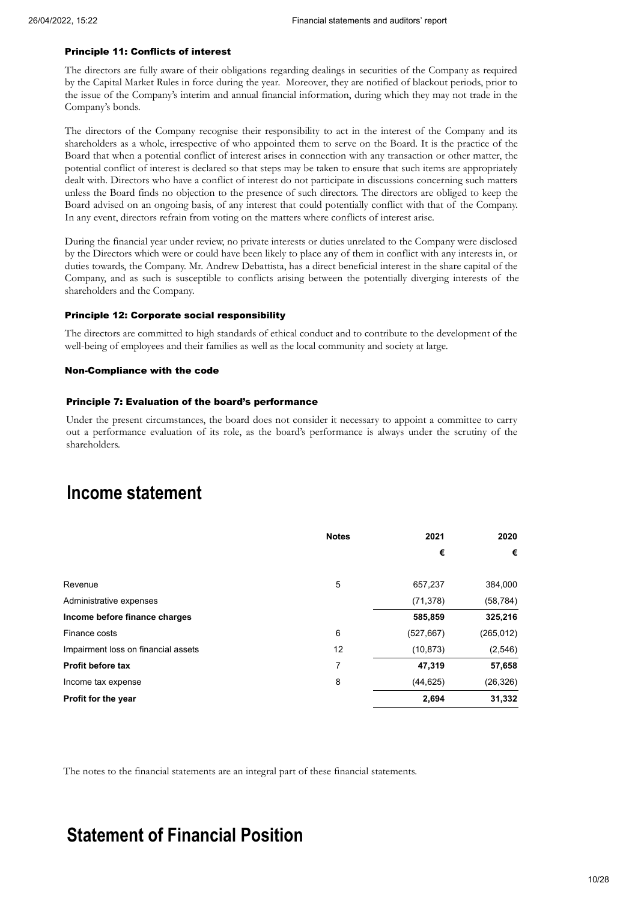#### Principle 11: Conflicts of interest

The directors are fully aware of their obligations regarding dealings in securities of the Company as required by the Capital Market Rules in force during the year. Moreover, they are notified of blackout periods, prior to the issue of the Company's interim and annual financial information, during which they may not trade in the Company's bonds.

The directors of the Company recognise their responsibility to act in the interest of the Company and its shareholders as a whole, irrespective of who appointed them to serve on the Board. It is the practice of the Board that when a potential conflict of interest arises in connection with any transaction or other matter, the potential conflict of interest is declared so that steps may be taken to ensure that such items are appropriately dealt with. Directors who have a conflict of interest do not participate in discussions concerning such matters unless the Board finds no objection to the presence of such directors. The directors are obliged to keep the Board advised on an ongoing basis, of any interest that could potentially conflict with that of the Company. In any event, directors refrain from voting on the matters where conflicts of interest arise.

During the financial year under review, no private interests or duties unrelated to the Company were disclosed by the Directors which were or could have been likely to place any of them in conflict with any interests in, or duties towards, the Company. Mr. Andrew Debattista, has a direct beneficial interest in the share capital of the Company, and as such is susceptible to conflicts arising between the potentially diverging interests of the shareholders and the Company.

#### Principle 12: Corporate social responsibility

The directors are committed to high standards of ethical conduct and to contribute to the development of the well-being of employees and their families as well as the local community and society at large.

#### Non-Compliance with the code

#### Principle 7: Evaluation of the board's performance

Under the present circumstances, the board does not consider it necessary to appoint a committee to carry out a performance evaluation of its role, as the board's performance is always under the scrutiny of the shareholders.

### <span id="page-9-0"></span>**Income statement**

|                                     | <b>Notes</b> | 2021       | 2020       |
|-------------------------------------|--------------|------------|------------|
|                                     |              | €          | €          |
|                                     |              |            |            |
| Revenue                             | 5            | 657,237    | 384,000    |
| Administrative expenses             |              | (71, 378)  | (58, 784)  |
| Income before finance charges       |              | 585,859    | 325,216    |
| Finance costs                       | 6            | (527, 667) | (265, 012) |
| Impairment loss on financial assets | 12           | (10, 873)  | (2,546)    |
| Profit before tax                   | 7            | 47,319     | 57,658     |
| Income tax expense                  | 8            | (44, 625)  | (26, 326)  |
| Profit for the year                 |              | 2,694      | 31,332     |

The notes to the financial statements are an integral part of these financial statements.

### <span id="page-9-1"></span>**Statement of Financial Position**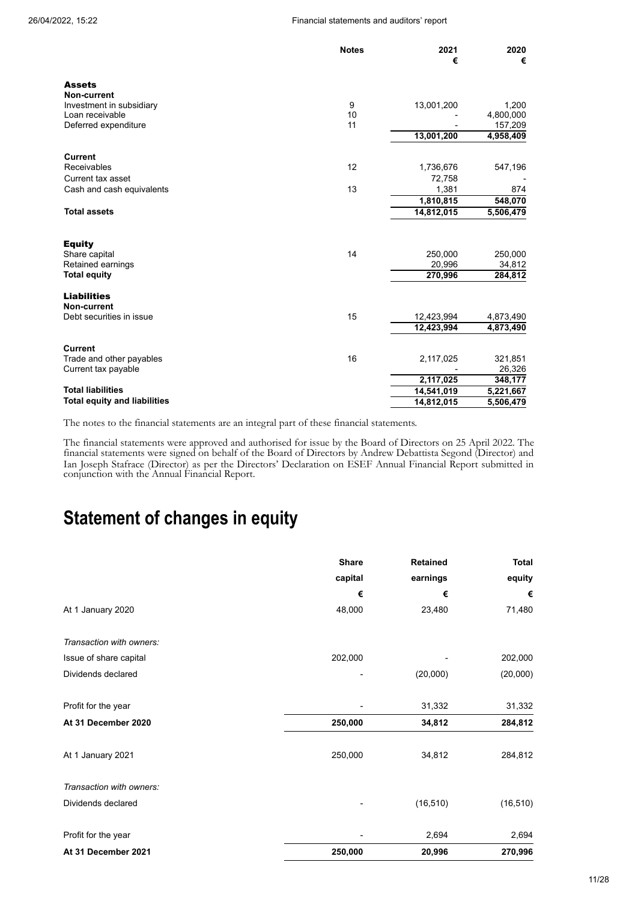|                                     | <b>Notes</b> | 2021<br>€               | 2020<br>€ |
|-------------------------------------|--------------|-------------------------|-----------|
| <b>Assets</b>                       |              |                         |           |
| Non-current                         |              |                         |           |
| Investment in subsidiary            | 9            | 13,001,200              | 1,200     |
| Loan receivable                     | 10           |                         | 4,800,000 |
| Deferred expenditure                | 11           |                         | 157,209   |
|                                     |              | 13,001,200              | 4,958,409 |
| <b>Current</b>                      |              |                         |           |
| Receivables                         | 12           | 1,736,676               | 547,196   |
| Current tax asset                   |              | 72,758                  |           |
| Cash and cash equivalents           | 13           | 1,381                   | 874       |
|                                     |              | 1,810,815               | 548,070   |
| <b>Total assets</b>                 |              | 14,812,015              | 5,506,479 |
|                                     |              |                         |           |
| <b>Equity</b>                       |              |                         |           |
| Share capital                       | 14           | 250,000                 | 250,000   |
| Retained earnings                   |              | 20,996                  | 34,812    |
| <b>Total equity</b>                 |              | 270,996                 | 284,812   |
| <b>Liabilities</b><br>Non-current   |              |                         |           |
| Debt securities in issue            | 15           | 12,423,994              | 4,873,490 |
|                                     |              | $\overline{12,}423,994$ | 4,873,490 |
|                                     |              |                         |           |
| <b>Current</b>                      |              |                         |           |
| Trade and other payables            | 16           | 2,117,025               | 321,851   |
| Current tax payable                 |              |                         | 26,326    |
|                                     |              | 2,117,025               | 348,177   |
| <b>Total liabilities</b>            |              | 14,541,019              | 5,221,667 |
| <b>Total equity and liabilities</b> |              | 14.812.015              | 5,506,479 |

The notes to the financial statements are an integral part of these financial statements.

The financial statements were approved and authorised for issue by the Board of Directors on 25 April 2022. The financial statements were signed on behalf of the Board of Directors by Andrew Debattista Segond (Director) and Ian Joseph Stafrace (Director) as per the Directors' Declaration on ESEF Annual Financial Report submitted in conjunction with the Annual Financial Report.

### <span id="page-10-0"></span>**Statement of changes in equity**

|                          | <b>Share</b> | <b>Retained</b> | <b>Total</b> |
|--------------------------|--------------|-----------------|--------------|
|                          | capital      | earnings        | equity       |
|                          | €            | €               | €            |
| At 1 January 2020        | 48,000       | 23,480          | 71,480       |
| Transaction with owners: |              |                 |              |
| Issue of share capital   | 202,000      |                 | 202,000      |
| Dividends declared       |              | (20,000)        | (20,000)     |
| Profit for the year      | ٠            | 31,332          | 31,332       |
| At 31 December 2020      | 250,000      | 34,812          | 284,812      |
| At 1 January 2021        | 250,000      | 34,812          | 284,812      |
| Transaction with owners: |              |                 |              |
| Dividends declared       |              | (16, 510)       | (16, 510)    |
| Profit for the year      |              | 2,694           | 2,694        |
| At 31 December 2021      | 250,000      | 20,996          | 270,996      |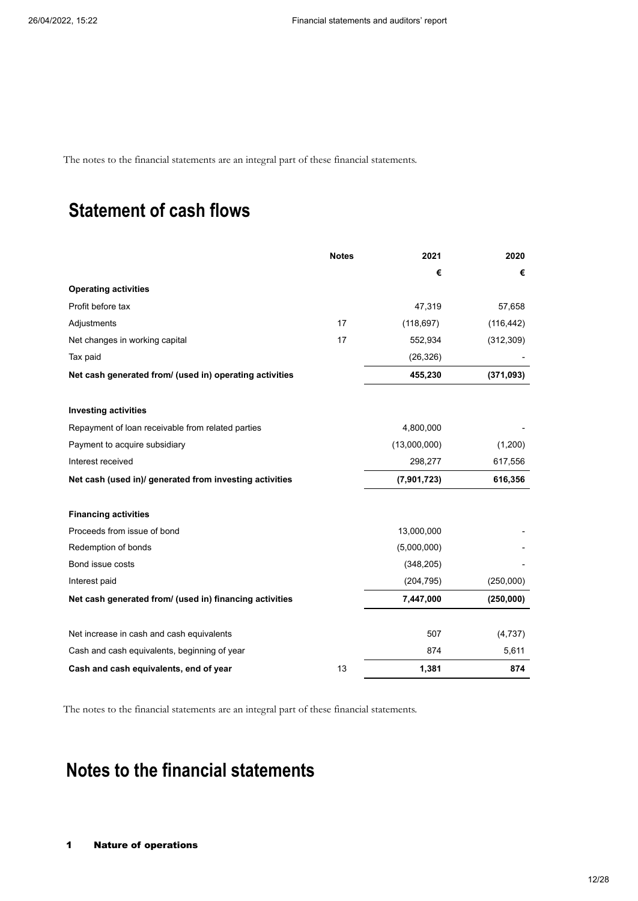The notes to the financial statements are an integral part of these financial statements.

## <span id="page-11-0"></span>**Statement of cash flows**

|                                                         | <b>Notes</b> | 2021         | 2020       |
|---------------------------------------------------------|--------------|--------------|------------|
|                                                         |              | €            | €          |
| <b>Operating activities</b>                             |              |              |            |
| Profit before tax                                       |              | 47,319       | 57,658     |
| Adjustments                                             | 17           | (118, 697)   | (116, 442) |
| Net changes in working capital                          | 17           | 552,934      | (312, 309) |
| Tax paid                                                |              | (26, 326)    |            |
| Net cash generated from/ (used in) operating activities |              | 455,230      | (371, 093) |
| <b>Investing activities</b>                             |              |              |            |
| Repayment of loan receivable from related parties       |              | 4,800,000    |            |
| Payment to acquire subsidiary                           |              | (13,000,000) | (1,200)    |
| Interest received                                       |              | 298,277      | 617,556    |
| Net cash (used in)/ generated from investing activities |              | (7,901,723)  | 616,356    |
| <b>Financing activities</b>                             |              |              |            |
| Proceeds from issue of bond                             |              | 13,000,000   |            |
| Redemption of bonds                                     |              | (5,000,000)  |            |
| Bond issue costs                                        |              | (348, 205)   |            |
| Interest paid                                           |              | (204, 795)   | (250,000)  |
| Net cash generated from/ (used in) financing activities |              | 7,447,000    | (250,000)  |
| Net increase in cash and cash equivalents               |              | 507          | (4,737)    |
| Cash and cash equivalents, beginning of year            |              | 874          | 5,611      |
| Cash and cash equivalents, end of year                  | 13           | 1,381        | 874        |

The notes to the financial statements are an integral part of these financial statements.

### <span id="page-11-1"></span>**Notes to the financial statements**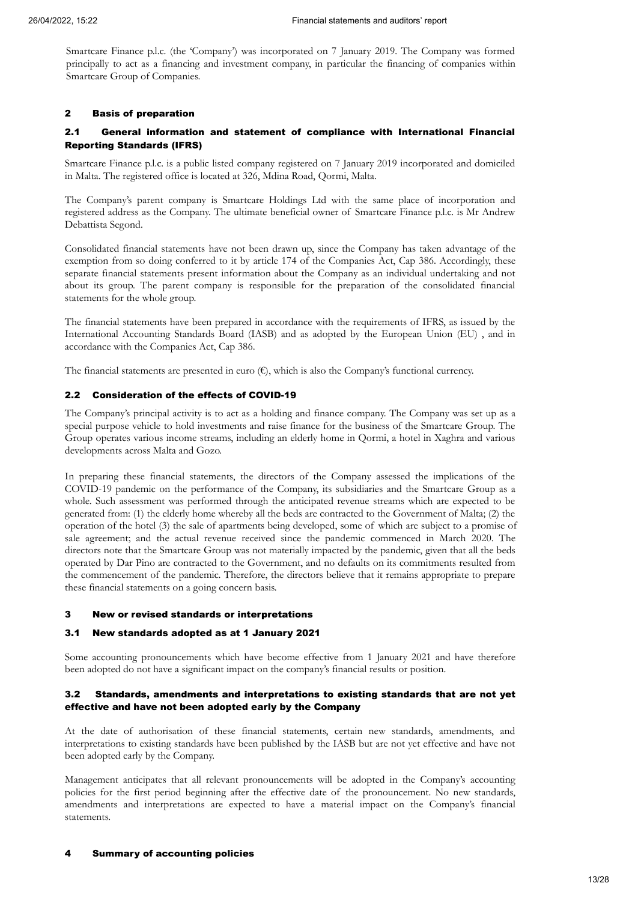Smartcare Finance p.l.c. (the 'Company') was incorporated on 7 January 2019. The Company was formed principally to act as a financing and investment company, in particular the financing of companies within Smartcare Group of Companies.

#### 2 Basis of preparation

#### 2.1 General information and statement of compliance with International Financial Reporting Standards (IFRS)

Smartcare Finance p.l.c. is a public listed company registered on 7 January 2019 incorporated and domiciled in Malta. The registered office is located at 326, Mdina Road, Qormi, Malta.

The Company's parent company is Smartcare Holdings Ltd with the same place of incorporation and registered address as the Company. The ultimate beneficial owner of Smartcare Finance p.l.c. is Mr Andrew Debattista Segond.

Consolidated financial statements have not been drawn up, since the Company has taken advantage of the exemption from so doing conferred to it by article 174 of the Companies Act, Cap 386. Accordingly, these separate financial statements present information about the Company as an individual undertaking and not about its group. The parent company is responsible for the preparation of the consolidated financial statements for the whole group.

The financial statements have been prepared in accordance with the requirements of IFRS, as issued by the International Accounting Standards Board (IASB) and as adopted by the European Union (EU) , and in accordance with the Companies Act, Cap 386.

The financial statements are presented in euro  $(\epsilon)$ , which is also the Company's functional currency.

#### 2.2 Consideration of the effects of COVID-19

The Company's principal activity is to act as a holding and finance company. The Company was set up as a special purpose vehicle to hold investments and raise finance for the business of the Smartcare Group. The Group operates various income streams, including an elderly home in Qormi, a hotel in Xaghra and various developments across Malta and Gozo.

In preparing these financial statements, the directors of the Company assessed the implications of the COVID-19 pandemic on the performance of the Company, its subsidiaries and the Smartcare Group as a whole. Such assessment was performed through the anticipated revenue streams which are expected to be generated from: (1) the elderly home whereby all the beds are contracted to the Government of Malta; (2) the operation of the hotel (3) the sale of apartments being developed, some of which are subject to a promise of sale agreement; and the actual revenue received since the pandemic commenced in March 2020. The directors note that the Smartcare Group was not materially impacted by the pandemic, given that all the beds operated by Dar Pino are contracted to the Government, and no defaults on its commitments resulted from the commencement of the pandemic. Therefore, the directors believe that it remains appropriate to prepare these financial statements on a going concern basis.

#### 3 New or revised standards or interpretations

#### 3.1 New standards adopted as at 1 January 2021

Some accounting pronouncements which have become effective from 1 January 2021 and have therefore been adopted do not have a significant impact on the company's financial results or position.

#### 3.2 Standards, amendments and interpretations to existing standards that are not yet effective and have not been adopted early by the Company

At the date of authorisation of these financial statements, certain new standards, amendments, and interpretations to existing standards have been published by the IASB but are not yet effective and have not been adopted early by the Company.

Management anticipates that all relevant pronouncements will be adopted in the Company's accounting policies for the first period beginning after the effective date of the pronouncement. No new standards, amendments and interpretations are expected to have a material impact on the Company's financial statements.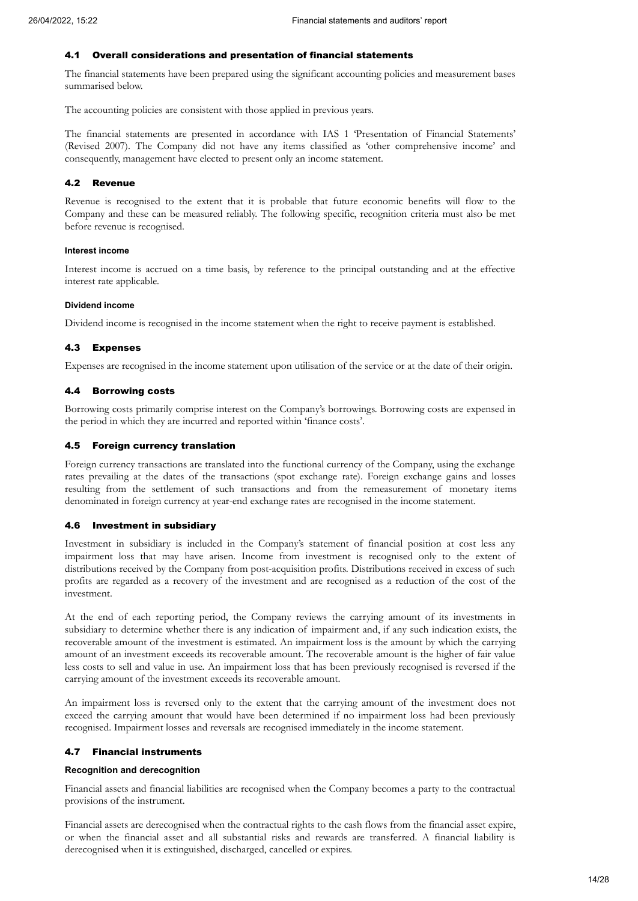#### 4.1 Overall considerations and presentation of financial statements

The financial statements have been prepared using the significant accounting policies and measurement bases summarised below.

The accounting policies are consistent with those applied in previous years.

The financial statements are presented in accordance with IAS 1 'Presentation of Financial Statements' (Revised 2007). The Company did not have any items classified as 'other comprehensive income' and consequently, management have elected to present only an income statement.

#### 4.2 Revenue

Revenue is recognised to the extent that it is probable that future economic benefits will flow to the Company and these can be measured reliably. The following specific, recognition criteria must also be met before revenue is recognised.

#### **Interest income**

Interest income is accrued on a time basis, by reference to the principal outstanding and at the effective interest rate applicable.

#### **Dividend income**

Dividend income is recognised in the income statement when the right to receive payment is established.

#### 4.3 Expenses

Expenses are recognised in the income statement upon utilisation of the service or at the date of their origin.

#### 4.4 Borrowing costs

Borrowing costs primarily comprise interest on the Company's borrowings. Borrowing costs are expensed in the period in which they are incurred and reported within 'finance costs'.

#### 4.5 Foreign currency translation

Foreign currency transactions are translated into the functional currency of the Company, using the exchange rates prevailing at the dates of the transactions (spot exchange rate). Foreign exchange gains and losses resulting from the settlement of such transactions and from the remeasurement of monetary items denominated in foreign currency at year-end exchange rates are recognised in the income statement.

#### 4.6 Investment in subsidiary

Investment in subsidiary is included in the Company's statement of financial position at cost less any impairment loss that may have arisen. Income from investment is recognised only to the extent of distributions received by the Company from post-acquisition profits. Distributions received in excess of such profits are regarded as a recovery of the investment and are recognised as a reduction of the cost of the investment.

At the end of each reporting period, the Company reviews the carrying amount of its investments in subsidiary to determine whether there is any indication of impairment and, if any such indication exists, the recoverable amount of the investment is estimated. An impairment loss is the amount by which the carrying amount of an investment exceeds its recoverable amount. The recoverable amount is the higher of fair value less costs to sell and value in use. An impairment loss that has been previously recognised is reversed if the carrying amount of the investment exceeds its recoverable amount.

An impairment loss is reversed only to the extent that the carrying amount of the investment does not exceed the carrying amount that would have been determined if no impairment loss had been previously recognised. Impairment losses and reversals are recognised immediately in the income statement.

#### 4.7 Financial instruments

#### **Recognition and derecognition**

Financial assets and financial liabilities are recognised when the Company becomes a party to the contractual provisions of the instrument.

Financial assets are derecognised when the contractual rights to the cash flows from the financial asset expire, or when the financial asset and all substantial risks and rewards are transferred. A financial liability is derecognised when it is extinguished, discharged, cancelled or expires.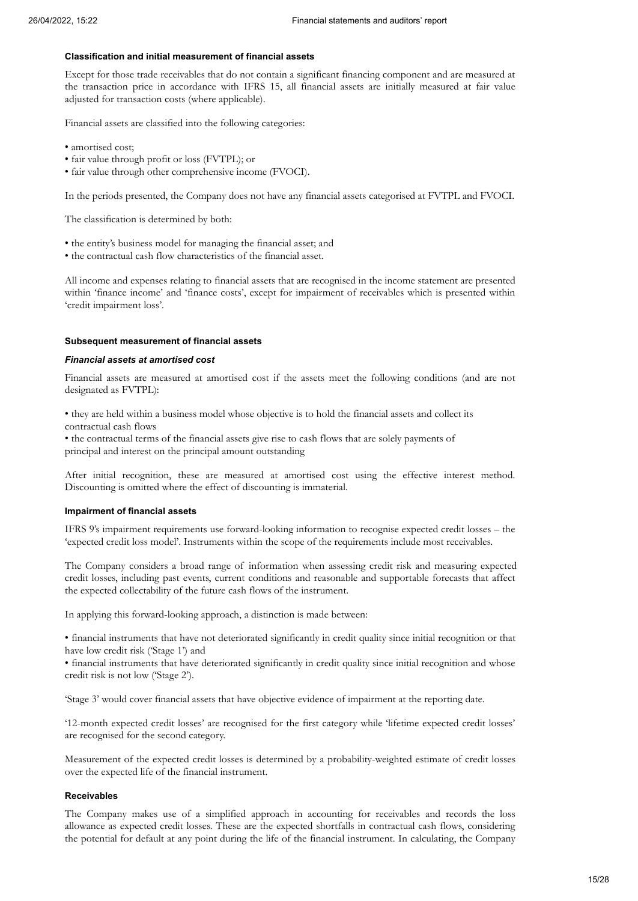#### **Classification and initial measurement of financial assets**

Except for those trade receivables that do not contain a significant financing component and are measured at the transaction price in accordance with IFRS 15, all financial assets are initially measured at fair value adjusted for transaction costs (where applicable).

Financial assets are classified into the following categories:

- amortised cost;
- fair value through profit or loss (FVTPL); or
- fair value through other comprehensive income (FVOCI).

In the periods presented, the Company does not have any financial assets categorised at FVTPL and FVOCI.

The classification is determined by both:

- the entity's business model for managing the financial asset; and
- the contractual cash flow characteristics of the financial asset.

All income and expenses relating to financial assets that are recognised in the income statement are presented within 'finance income' and 'finance costs', except for impairment of receivables which is presented within 'credit impairment loss'.

#### **Subsequent measurement of financial assets**

#### *Financial assets at amortised cost*

Financial assets are measured at amortised cost if the assets meet the following conditions (and are not designated as FVTPL):

• they are held within a business model whose objective is to hold the financial assets and collect its contractual cash flows

• the contractual terms of the financial assets give rise to cash flows that are solely payments of principal and interest on the principal amount outstanding

After initial recognition, these are measured at amortised cost using the effective interest method. Discounting is omitted where the effect of discounting is immaterial.

#### **Impairment of financial assets**

IFRS 9's impairment requirements use forward-looking information to recognise expected credit losses – the 'expected credit loss model'. Instruments within the scope of the requirements include most receivables.

The Company considers a broad range of information when assessing credit risk and measuring expected credit losses, including past events, current conditions and reasonable and supportable forecasts that affect the expected collectability of the future cash flows of the instrument.

In applying this forward-looking approach, a distinction is made between:

• financial instruments that have not deteriorated significantly in credit quality since initial recognition or that have low credit risk ('Stage 1') and

• financial instruments that have deteriorated significantly in credit quality since initial recognition and whose credit risk is not low ('Stage 2').

'Stage 3' would cover financial assets that have objective evidence of impairment at the reporting date.

'12-month expected credit losses' are recognised for the first category while 'lifetime expected credit losses' are recognised for the second category.

Measurement of the expected credit losses is determined by a probability-weighted estimate of credit losses over the expected life of the financial instrument.

#### **Receivables**

The Company makes use of a simplified approach in accounting for receivables and records the loss allowance as expected credit losses. These are the expected shortfalls in contractual cash flows, considering the potential for default at any point during the life of the financial instrument. In calculating, the Company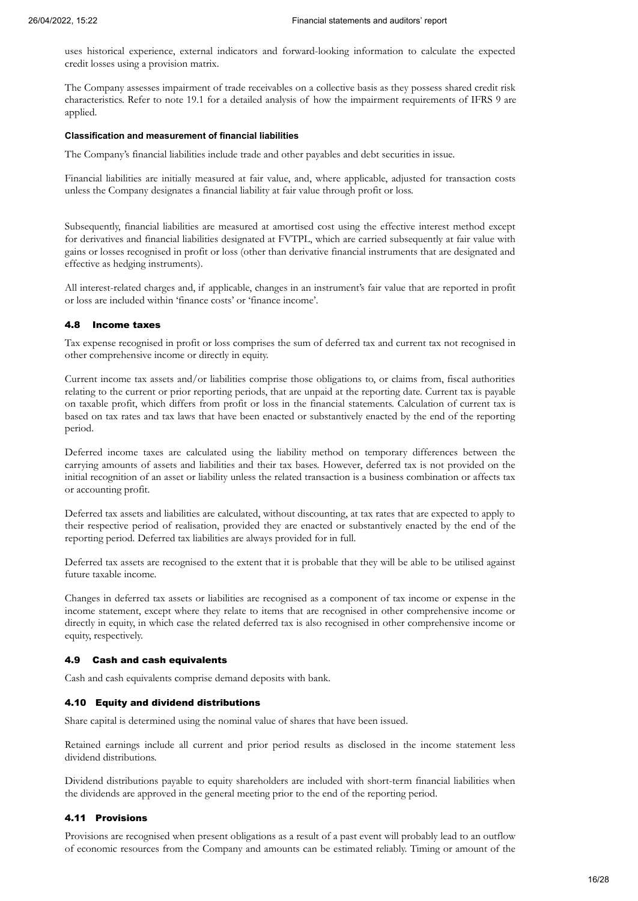uses historical experience, external indicators and forward-looking information to calculate the expected credit losses using a provision matrix.

The Company assesses impairment of trade receivables on a collective basis as they possess shared credit risk characteristics. Refer to note 19.1 for a detailed analysis of how the impairment requirements of IFRS 9 are applied.

#### **Classification and measurement of financial liabilities**

The Company's financial liabilities include trade and other payables and debt securities in issue.

Financial liabilities are initially measured at fair value, and, where applicable, adjusted for transaction costs unless the Company designates a financial liability at fair value through profit or loss.

Subsequently, financial liabilities are measured at amortised cost using the effective interest method except for derivatives and financial liabilities designated at FVTPL, which are carried subsequently at fair value with gains or losses recognised in profit or loss (other than derivative financial instruments that are designated and effective as hedging instruments).

All interest-related charges and, if applicable, changes in an instrument's fair value that are reported in profit or loss are included within 'finance costs' or 'finance income'.

#### 4.8 Income taxes

Tax expense recognised in profit or loss comprises the sum of deferred tax and current tax not recognised in other comprehensive income or directly in equity.

Current income tax assets and/or liabilities comprise those obligations to, or claims from, fiscal authorities relating to the current or prior reporting periods, that are unpaid at the reporting date. Current tax is payable on taxable profit, which differs from profit or loss in the financial statements. Calculation of current tax is based on tax rates and tax laws that have been enacted or substantively enacted by the end of the reporting period.

Deferred income taxes are calculated using the liability method on temporary differences between the carrying amounts of assets and liabilities and their tax bases. However, deferred tax is not provided on the initial recognition of an asset or liability unless the related transaction is a business combination or affects tax or accounting profit.

Deferred tax assets and liabilities are calculated, without discounting, at tax rates that are expected to apply to their respective period of realisation, provided they are enacted or substantively enacted by the end of the reporting period. Deferred tax liabilities are always provided for in full.

Deferred tax assets are recognised to the extent that it is probable that they will be able to be utilised against future taxable income.

Changes in deferred tax assets or liabilities are recognised as a component of tax income or expense in the income statement, except where they relate to items that are recognised in other comprehensive income or directly in equity, in which case the related deferred tax is also recognised in other comprehensive income or equity, respectively.

#### 4.9 Cash and cash equivalents

Cash and cash equivalents comprise demand deposits with bank.

#### 4.10 Equity and dividend distributions

Share capital is determined using the nominal value of shares that have been issued.

Retained earnings include all current and prior period results as disclosed in the income statement less dividend distributions.

Dividend distributions payable to equity shareholders are included with short-term financial liabilities when the dividends are approved in the general meeting prior to the end of the reporting period.

#### 4.11 Provisions

Provisions are recognised when present obligations as a result of a past event will probably lead to an outflow of economic resources from the Company and amounts can be estimated reliably. Timing or amount of the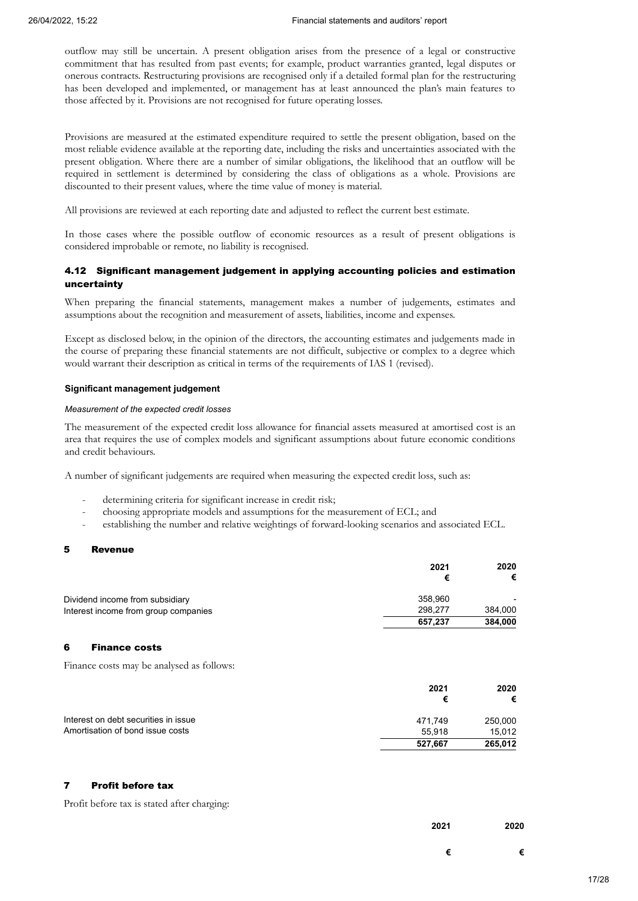outflow may still be uncertain. A present obligation arises from the presence of a legal or constructive commitment that has resulted from past events; for example, product warranties granted, legal disputes or onerous contracts. Restructuring provisions are recognised only if a detailed formal plan for the restructuring has been developed and implemented, or management has at least announced the plan's main features to those affected by it. Provisions are not recognised for future operating losses.

Provisions are measured at the estimated expenditure required to settle the present obligation, based on the most reliable evidence available at the reporting date, including the risks and uncertainties associated with the present obligation. Where there are a number of similar obligations, the likelihood that an outflow will be required in settlement is determined by considering the class of obligations as a whole. Provisions are discounted to their present values, where the time value of money is material.

All provisions are reviewed at each reporting date and adjusted to reflect the current best estimate.

In those cases where the possible outflow of economic resources as a result of present obligations is considered improbable or remote, no liability is recognised.

#### 4.12 Significant management judgement in applying accounting policies and estimation uncertainty

When preparing the financial statements, management makes a number of judgements, estimates and assumptions about the recognition and measurement of assets, liabilities, income and expenses.

Except as disclosed below, in the opinion of the directors, the accounting estimates and judgements made in the course of preparing these financial statements are not difficult, subjective or complex to a degree which would warrant their description as critical in terms of the requirements of IAS 1 (revised).

#### **Significant management judgement**

#### *Measurement of the expected credit losses*

The measurement of the expected credit loss allowance for financial assets measured at amortised cost is an area that requires the use of complex models and significant assumptions about future economic conditions and credit behaviours.

A number of significant judgements are required when measuring the expected credit loss, such as:

- determining criteria for significant increase in credit risk;
- choosing appropriate models and assumptions for the measurement of ECL; and
- establishing the number and relative weightings of forward-looking scenarios and associated ECL.

#### 5 Revenue

|                                      | 2021<br>€ | 2020<br>€ |
|--------------------------------------|-----------|-----------|
| Dividend income from subsidiary      | 358,960   |           |
| Interest income from group companies | 298,277   | 384,000   |
|                                      | 657,237   | 384,000   |

Finance costs may be analysed as follows:

|                                      | 2021    | 2020    |
|--------------------------------------|---------|---------|
|                                      | €       | €       |
| Interest on debt securities in issue | 471.749 | 250,000 |
| Amortisation of bond issue costs     | 55.918  | 15.012  |
|                                      | 527.667 | 265.012 |

#### 7 Profit before tax

Profit before tax is stated after charging:

| 2021 | 2020 |
|------|------|
|      |      |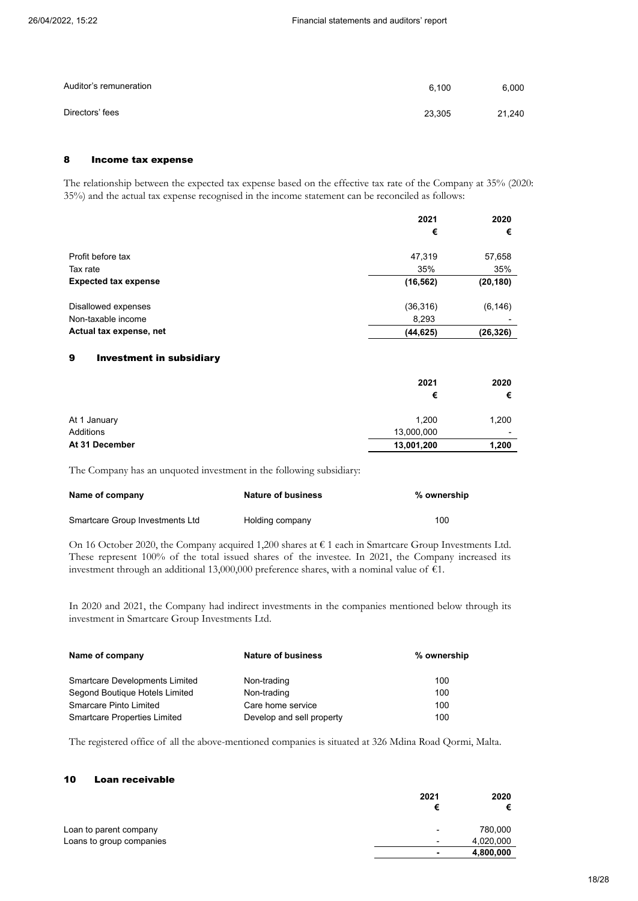| Auditor's remuneration | 6.100  | 6,000  |
|------------------------|--------|--------|
| Directors' fees        | 23.305 | 21.240 |

#### 8 Income tax expense

The relationship between the expected tax expense based on the effective tax rate of the Company at 35% (2020: 35%) and the actual tax expense recognised in the income statement can be reconciled as follows:

|                             | 2021      | 2020      |
|-----------------------------|-----------|-----------|
|                             | €         | €         |
| Profit before tax           | 47,319    | 57,658    |
| Tax rate                    | 35%       | 35%       |
| <b>Expected tax expense</b> | (16, 562) | (20, 180) |
| Disallowed expenses         | (36, 316) | (6, 146)  |
| Non-taxable income          | 8,293     | -         |
| Actual tax expense, net     | (44, 625) | (26, 326) |

### 9 Investment in subsidiary

|                | 2021<br>€  | 2020<br>€                |
|----------------|------------|--------------------------|
| At 1 January   | 1,200      | 1,200                    |
| Additions      | 13,000,000 | $\overline{\phantom{a}}$ |
| At 31 December | 13,001,200 | 1,200                    |

The Company has an unquoted investment in the following subsidiary:

| Name of company                 | <b>Nature of business</b> | % ownership |
|---------------------------------|---------------------------|-------------|
| Smartcare Group Investments Ltd | Holding company           | 100         |

On 16 October 2020, the Company acquired 1,200 shares at € 1 each in Smartcare Group Investments Ltd. These represent 100% of the total issued shares of the investee. In 2021, the Company increased its investment through an additional 13,000,000 preference shares, with a nominal value of €1.

In 2020 and 2021, the Company had indirect investments in the companies mentioned below through its investment in Smartcare Group Investments Ltd.

| Name of company                       | <b>Nature of business</b> | % ownership |
|---------------------------------------|---------------------------|-------------|
| <b>Smartcare Developments Limited</b> | Non-trading               | 100         |
| Segond Boutique Hotels Limited        | Non-trading               | 100         |
| Smarcare Pinto Limited                | Care home service         | 100         |
| <b>Smartcare Properties Limited</b>   | Develop and sell property | 100         |

The registered office of all the above-mentioned companies is situated at 326 Mdina Road Qormi, Malta.

### 10 Loan receivable

|                          | 2021                     | 2020      |
|--------------------------|--------------------------|-----------|
|                          | €                        | €         |
| Loan to parent company   | $\overline{\phantom{a}}$ | 780,000   |
| Loans to group companies | $\overline{\phantom{a}}$ | 4,020,000 |
|                          | ٠                        | 4,800,000 |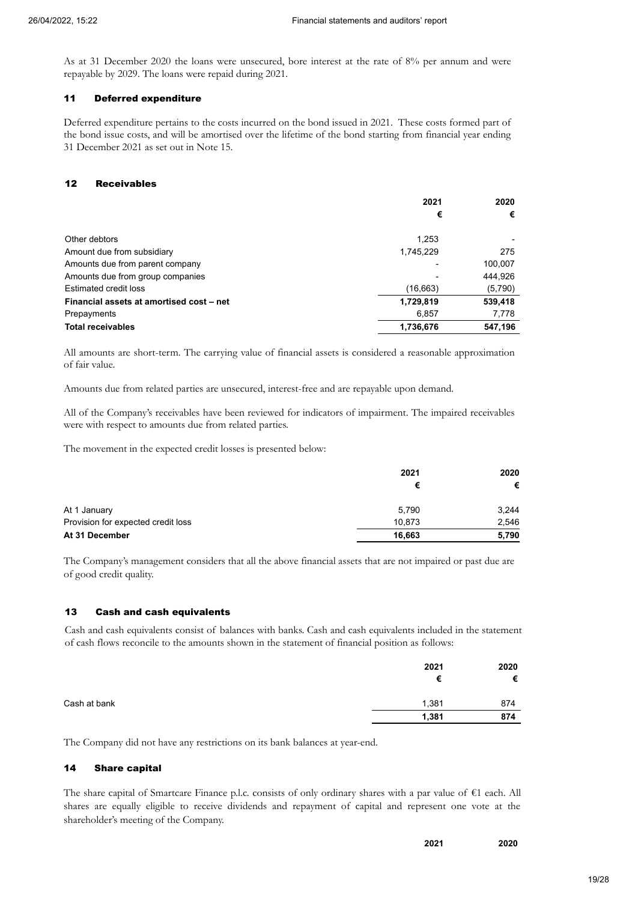As at 31 December 2020 the loans were unsecured, bore interest at the rate of 8% per annum and were repayable by 2029. The loans were repaid during 2021.

#### 11 Deferred expenditure

Deferred expenditure pertains to the costs incurred on the bond issued in 2021. These costs formed part of the bond issue costs, and will be amortised over the lifetime of the bond starting from financial year ending 31 December 2021 as set out in Note 15.

#### 12 Receivables

|                                          | 2021      | 2020    |
|------------------------------------------|-----------|---------|
|                                          | €         | €       |
| Other debtors                            | 1.253     |         |
| Amount due from subsidiary               | 1,745,229 | 275     |
| Amounts due from parent company          |           | 100,007 |
| Amounts due from group companies         |           | 444,926 |
| Estimated credit loss                    | (16,663)  | (5,790) |
| Financial assets at amortised cost – net | 1,729,819 | 539,418 |
| Prepayments                              | 6,857     | 7,778   |
| <b>Total receivables</b>                 | 1,736,676 | 547,196 |

All amounts are short-term. The carrying value of financial assets is considered a reasonable approximation of fair value.

Amounts due from related parties are unsecured, interest-free and are repayable upon demand.

All of the Company's receivables have been reviewed for indicators of impairment. The impaired receivables were with respect to amounts due from related parties.

The movement in the expected credit losses is presented below:

|                                    | 2021   | 2020  |
|------------------------------------|--------|-------|
|                                    | €      | €     |
| At 1 January                       | 5.790  | 3.244 |
| Provision for expected credit loss | 10.873 | 2,546 |
| At 31 December                     | 16,663 | 5,790 |

The Company's management considers that all the above financial assets that are not impaired or past due are of good credit quality.

#### 13 Cash and cash equivalents

Cash and cash equivalents consist of balances with banks. Cash and cash equivalents included in the statement of cash flows reconcile to the amounts shown in the statement of financial position as follows:

|              | 2021  | 2020 |
|--------------|-------|------|
|              | €     | €    |
| Cash at bank | 1,381 | 874  |
|              | 1,381 | 874  |

The Company did not have any restrictions on its bank balances at year-end.

#### 14 Share capital

The share capital of Smartcare Finance p.l.c. consists of only ordinary shares with a par value of €1 each. All shares are equally eligible to receive dividends and repayment of capital and represent one vote at the shareholder's meeting of the Company.

**2021 2020**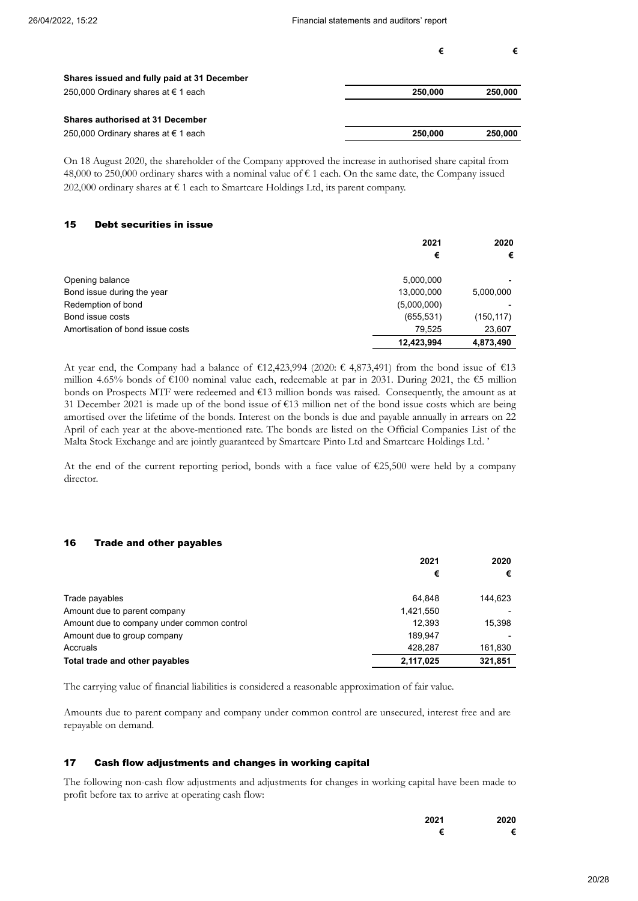|                                             | €       | €       |
|---------------------------------------------|---------|---------|
| Shares issued and fully paid at 31 December |         |         |
| 250,000 Ordinary shares at € 1 each         | 250,000 | 250,000 |
| <b>Shares authorised at 31 December</b>     |         |         |
| 250,000 Ordinary shares at € 1 each         | 250,000 | 250,000 |

On 18 August 2020, the shareholder of the Company approved the increase in authorised share capital from 48,000 to 250,000 ordinary shares with a nominal value of  $\epsilon$  1 each. On the same date, the Company issued 202,000 ordinary shares at  $\epsilon$  1 each to Smartcare Holdings Ltd, its parent company.

### 15 Debt securities in issue

|                                  | 2021<br>€   | 2020<br>€  |
|----------------------------------|-------------|------------|
| Opening balance                  | 5,000,000   |            |
| Bond issue during the year       | 13,000,000  | 5,000,000  |
| Redemption of bond               | (5,000,000) |            |
| Bond issue costs                 | (655, 531)  | (150, 117) |
| Amortisation of bond issue costs | 79.525      | 23,607     |
|                                  | 12.423.994  | 4,873,490  |

At year end, the Company had a balance of  $\epsilon$ 12,423,994 (2020:  $\epsilon$  4,873,491) from the bond issue of  $\epsilon$ 13 million 4.65% bonds of  $\epsilon$ 100 nominal value each, redeemable at par in 2031. During 2021, the  $\epsilon$ 5 million bonds on Prospects MTF were redeemed and  $E13$  million bonds was raised. Consequently, the amount as at 31 December 2021 is made up of the bond issue of €13 million net of the bond issue costs which are being amortised over the lifetime of the bonds. Interest on the bonds is due and payable annually in arrears on 22 April of each year at the above-mentioned rate. The bonds are listed on the Official Companies List of the Malta Stock Exchange and are jointly guaranteed by Smartcare Pinto Ltd and Smartcare Holdings Ltd. '

At the end of the current reporting period, bonds with a face value of €25,500 were held by a company director.

#### 16 Trade and other payables

|                                            | 2021      | 2020    |
|--------------------------------------------|-----------|---------|
|                                            | €         | €       |
| Trade payables                             | 64.848    | 144.623 |
| Amount due to parent company               | 1,421,550 |         |
| Amount due to company under common control | 12.393    | 15,398  |
| Amount due to group company                | 189.947   |         |
| Accruals                                   | 428.287   | 161,830 |
| Total trade and other payables             | 2,117,025 | 321,851 |

The carrying value of financial liabilities is considered a reasonable approximation of fair value.

Amounts due to parent company and company under common control are unsecured, interest free and are repayable on demand.

#### 17 Cash flow adjustments and changes in working capital

The following non-cash flow adjustments and adjustments for changes in working capital have been made to profit before tax to arrive at operating cash flow:

| 2021 | 2020 |
|------|------|
| €    | €    |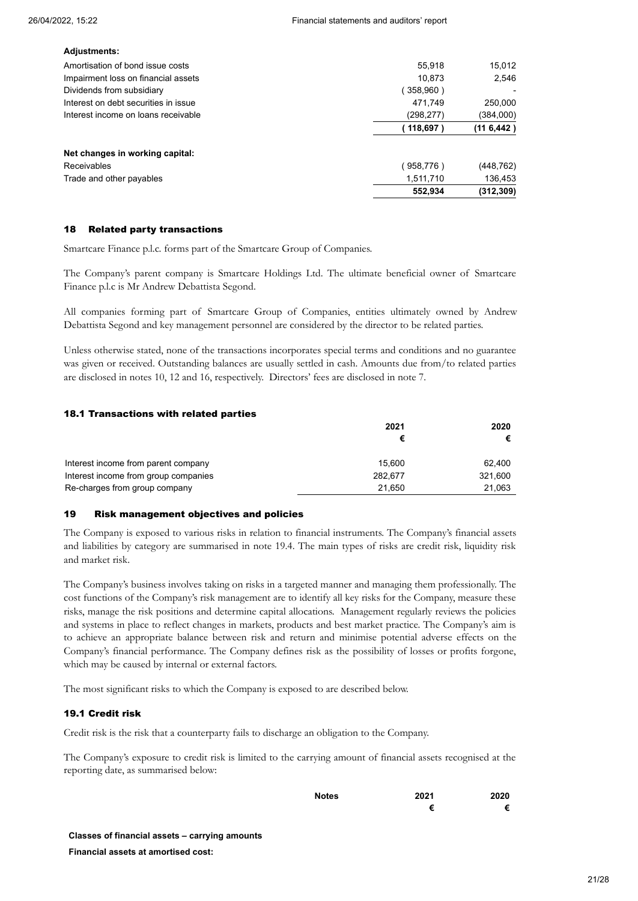| <b>Adjustments:</b>                  |            |                          |
|--------------------------------------|------------|--------------------------|
| Amortisation of bond issue costs     | 55.918     | 15.012                   |
| Impairment loss on financial assets  | 10.873     | 2.546                    |
| Dividends from subsidiary            | 358,960)   | $\overline{\phantom{0}}$ |
| Interest on debt securities in issue | 471.749    | 250,000                  |
| Interest income on loans receivable  | (298, 277) | (384,000)                |
|                                      | 118,697)   | (116, 442)               |
| Net changes in working capital:      |            |                          |
| Receivables                          | (958,776)  | (448, 762)               |
| Trade and other payables             | 1,511,710  | 136,453                  |
|                                      | 552.934    | (312, 309)               |

#### 18 Related party transactions

Smartcare Finance p.l.c. forms part of the Smartcare Group of Companies.

The Company's parent company is Smartcare Holdings Ltd. The ultimate beneficial owner of Smartcare Finance p.l.c is Mr Andrew Debattista Segond.

All companies forming part of Smartcare Group of Companies, entities ultimately owned by Andrew Debattista Segond and key management personnel are considered by the director to be related parties.

Unless otherwise stated, none of the transactions incorporates special terms and conditions and no guarantee was given or received. Outstanding balances are usually settled in cash. Amounts due from/to related parties are disclosed in notes 10, 12 and 16, respectively. Directors' fees are disclosed in note 7.

#### 18.1 Transactions with related parties

|                                      | 2021    | 2020    |
|--------------------------------------|---------|---------|
|                                      | €       | €       |
| Interest income from parent company  | 15.600  | 62.400  |
| Interest income from group companies | 282.677 | 321,600 |
| Re-charges from group company        | 21,650  | 21,063  |

#### 19 Risk management objectives and policies

The Company is exposed to various risks in relation to financial instruments. The Company's financial assets and liabilities by category are summarised in note 19.4. The main types of risks are credit risk, liquidity risk and market risk.

The Company's business involves taking on risks in a targeted manner and managing them professionally. The cost functions of the Company's risk management are to identify all key risks for the Company, measure these risks, manage the risk positions and determine capital allocations. Management regularly reviews the policies and systems in place to reflect changes in markets, products and best market practice. The Company's aim is to achieve an appropriate balance between risk and return and minimise potential adverse effects on the Company's financial performance. The Company defines risk as the possibility of losses or profits forgone, which may be caused by internal or external factors.

The most significant risks to which the Company is exposed to are described below.

#### 19.1 Credit risk

Credit risk is the risk that a counterparty fails to discharge an obligation to the Company.

The Company's exposure to credit risk is limited to the carrying amount of financial assets recognised at the reporting date, as summarised below:

| <b>Notes</b> | 2021 | 2020 |
|--------------|------|------|
|              | €    |      |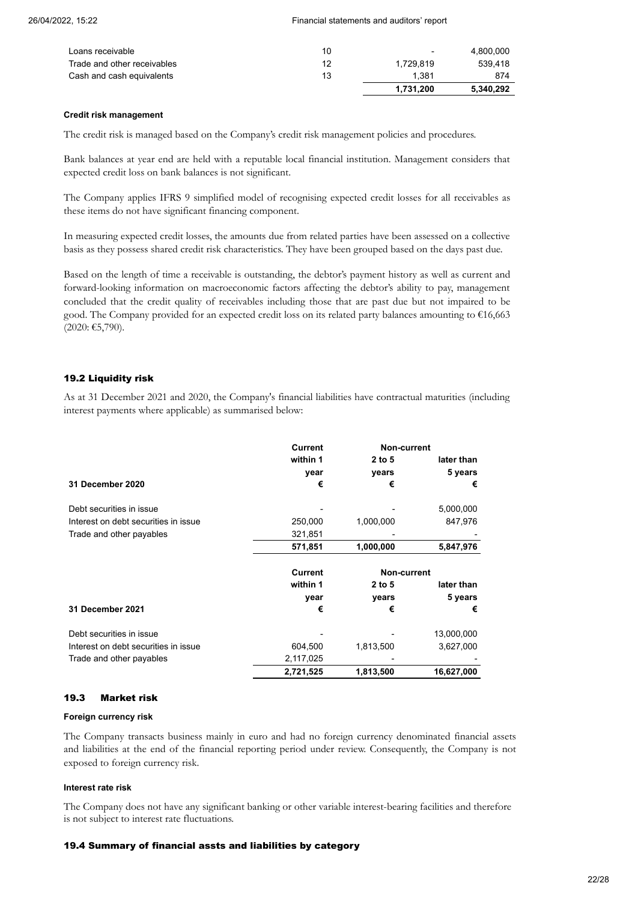| Loans receivable            | 10 | $\overline{\phantom{a}}$ | 4.800.000 |
|-----------------------------|----|--------------------------|-----------|
| Trade and other receivables | 12 | 1.729.819                | 539.418   |
| Cash and cash equivalents   | 13 | 1.381                    | 874       |
|                             |    | 1.731.200                | 5.340.292 |

#### **Credit risk management**

The credit risk is managed based on the Company's credit risk management policies and procedures.

Bank balances at year end are held with a reputable local financial institution. Management considers that expected credit loss on bank balances is not significant.

The Company applies IFRS 9 simplified model of recognising expected credit losses for all receivables as these items do not have significant financing component.

In measuring expected credit losses, the amounts due from related parties have been assessed on a collective basis as they possess shared credit risk characteristics. They have been grouped based on the days past due.

Based on the length of time a receivable is outstanding, the debtor's payment history as well as current and forward-looking information on macroeconomic factors affecting the debtor's ability to pay, management concluded that the credit quality of receivables including those that are past due but not impaired to be good. The Company provided for an expected credit loss on its related party balances amounting to €16,663 (2020: €5,790).

#### 19.2 Liquidity risk

As at 31 December 2021 and 2020, the Company's financial liabilities have contractual maturities (including interest payments where applicable) as summarised below:

|                                      | Current   | Non-current        |            |
|--------------------------------------|-----------|--------------------|------------|
|                                      | within 1  | $2$ to 5           | later than |
|                                      | year      | years              | 5 years    |
| 31 December 2020                     | €         | €                  | €          |
| Debt securities in issue             |           |                    | 5,000,000  |
| Interest on debt securities in issue | 250,000   | 1,000,000          | 847,976    |
| Trade and other payables             | 321,851   |                    |            |
|                                      | 571,851   | 1,000,000          | 5,847,976  |
|                                      | Current   | <b>Non-current</b> |            |
|                                      | within 1  | $2$ to 5           | later than |
|                                      | year      | years              | 5 years    |
| 31 December 2021                     | €         | €                  | €          |
| Debt securities in issue             |           |                    | 13,000,000 |
| Interest on debt securities in issue | 604,500   | 1,813,500          | 3,627,000  |
| Trade and other payables             | 2,117,025 |                    |            |
|                                      | 2,721,525 | 1,813,500          | 16,627,000 |

#### 19.3 Market risk

#### **Foreign currency risk**

The Company transacts business mainly in euro and had no foreign currency denominated financial assets and liabilities at the end of the financial reporting period under review. Consequently, the Company is not exposed to foreign currency risk.

#### **Interest rate risk**

The Company does not have any significant banking or other variable interest-bearing facilities and therefore is not subject to interest rate fluctuations.

#### 19.4 Summary of financial assts and liabilities by category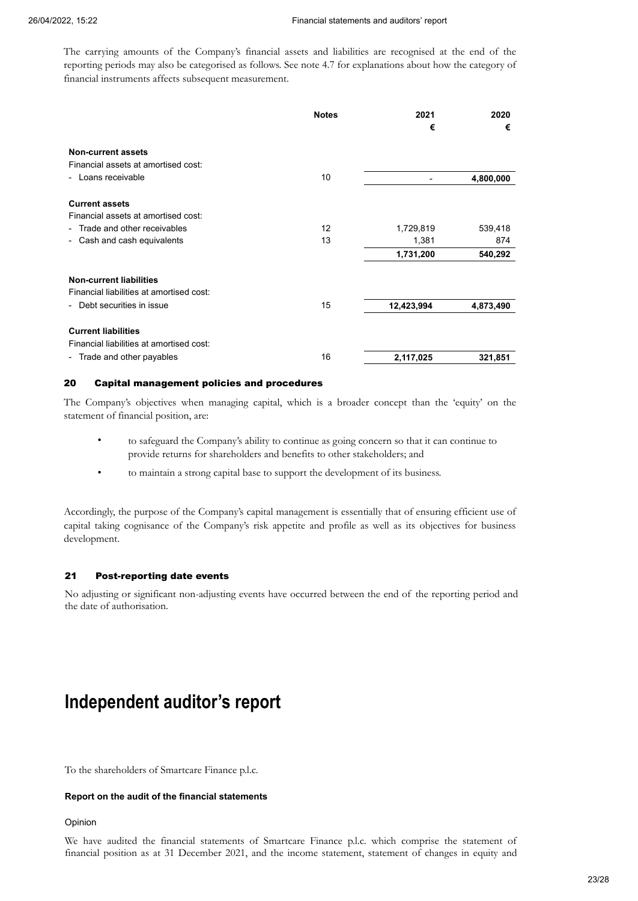The carrying amounts of the Company's financial assets and liabilities are recognised at the end of the reporting periods may also be categorised as follows. See note 4.7 for explanations about how the category of financial instruments affects subsequent measurement.

|                                                       | <b>Notes</b>      | 2021       | 2020<br>€ |
|-------------------------------------------------------|-------------------|------------|-----------|
|                                                       |                   | €          |           |
| <b>Non-current assets</b>                             |                   |            |           |
| Financial assets at amortised cost:                   |                   |            |           |
| Loans receivable                                      | 10                |            | 4,800,000 |
| <b>Current assets</b>                                 |                   |            |           |
| Financial assets at amortised cost:                   |                   |            |           |
| - Trade and other receivables                         | $12 \overline{ }$ | 1,729,819  | 539,418   |
| Cash and cash equivalents<br>$\overline{\phantom{a}}$ | 13                | 1,381      | 874       |
|                                                       |                   | 1,731,200  | 540,292   |
| <b>Non-current liabilities</b>                        |                   |            |           |
| Financial liabilities at amortised cost:              |                   |            |           |
| Debt securities in issue                              | 15                | 12,423,994 | 4,873,490 |
| <b>Current liabilities</b>                            |                   |            |           |
| Financial liabilities at amortised cost:              |                   |            |           |
| - Trade and other payables                            | 16                | 2,117,025  | 321,851   |

#### 20 Capital management policies and procedures

The Company's objectives when managing capital, which is a broader concept than the 'equity' on the statement of financial position, are:

- to safeguard the Company's ability to continue as going concern so that it can continue to provide returns for shareholders and benefits to other stakeholders; and
- to maintain a strong capital base to support the development of its business.

Accordingly, the purpose of the Company's capital management is essentially that of ensuring efficient use of capital taking cognisance of the Company's risk appetite and profile as well as its objectives for business development.

#### 21 Post-reporting date events

No adjusting or significant non-adjusting events have occurred between the end of the reporting period and the date of authorisation.

### <span id="page-22-0"></span>**Independent auditor's report**

To the shareholders of Smartcare Finance p.l.c.

#### **Report on the audit of the financial statements**

Opinion

We have audited the financial statements of Smartcare Finance p.l.c. which comprise the statement of financial position as at 31 December 2021, and the income statement, statement of changes in equity and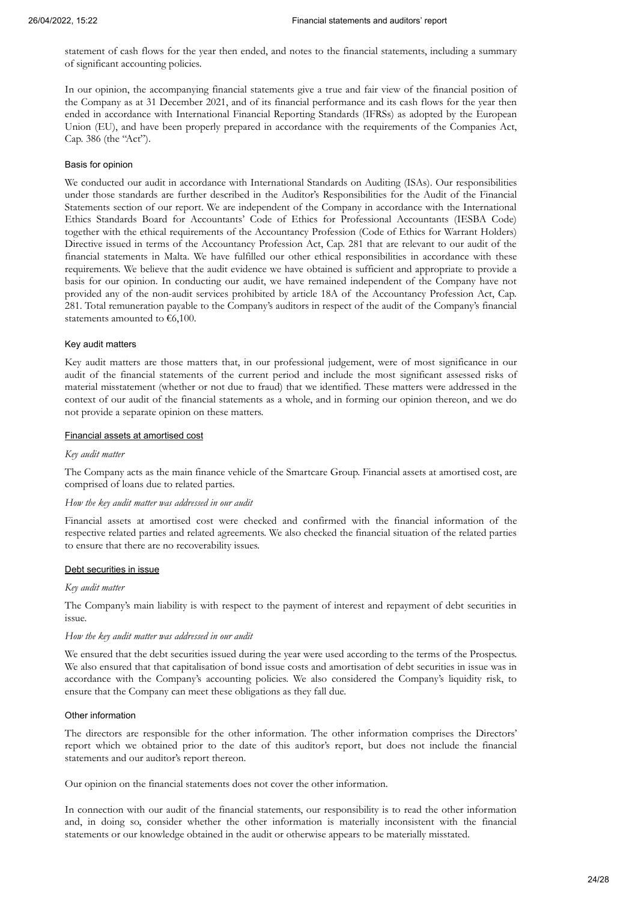statement of cash flows for the year then ended, and notes to the financial statements, including a summary of significant accounting policies.

In our opinion, the accompanying financial statements give a true and fair view of the financial position of the Company as at 31 December 2021, and of its financial performance and its cash flows for the year then ended in accordance with International Financial Reporting Standards (IFRSs) as adopted by the European Union (EU), and have been properly prepared in accordance with the requirements of the Companies Act, Cap. 386 (the "Act").

#### Basis for opinion

We conducted our audit in accordance with International Standards on Auditing (ISAs). Our responsibilities under those standards are further described in the Auditor's Responsibilities for the Audit of the Financial Statements section of our report. We are independent of the Company in accordance with the International Ethics Standards Board for Accountants' Code of Ethics for Professional Accountants (IESBA Code) together with the ethical requirements of the Accountancy Profession (Code of Ethics for Warrant Holders) Directive issued in terms of the Accountancy Profession Act, Cap. 281 that are relevant to our audit of the financial statements in Malta. We have fulfilled our other ethical responsibilities in accordance with these requirements. We believe that the audit evidence we have obtained is sufficient and appropriate to provide a basis for our opinion. In conducting our audit, we have remained independent of the Company have not provided any of the non-audit services prohibited by article 18A of the Accountancy Profession Act, Cap. 281. Total remuneration payable to the Company's auditors in respect of the audit of the Company's financial statements amounted to €6,100.

#### Key audit matters

Key audit matters are those matters that, in our professional judgement, were of most significance in our audit of the financial statements of the current period and include the most significant assessed risks of material misstatement (whether or not due to fraud) that we identified. These matters were addressed in the context of our audit of the financial statements as a whole, and in forming our opinion thereon, and we do not provide a separate opinion on these matters.

#### Financial assets at amortised cost

#### *Key audit matter*

The Company acts as the main finance vehicle of the Smartcare Group. Financial assets at amortised cost, are comprised of loans due to related parties.

#### *How the key audit matter was addressed in our audit*

Financial assets at amortised cost were checked and confirmed with the financial information of the respective related parties and related agreements. We also checked the financial situation of the related parties to ensure that there are no recoverability issues.

#### Debt securities in issue

#### *Key audit matter*

The Company's main liability is with respect to the payment of interest and repayment of debt securities in issue.

#### *How the key audit matter was addressed in our audit*

We ensured that the debt securities issued during the year were used according to the terms of the Prospectus. We also ensured that that capitalisation of bond issue costs and amortisation of debt securities in issue was in accordance with the Company's accounting policies. We also considered the Company's liquidity risk, to ensure that the Company can meet these obligations as they fall due.

#### Other information

The directors are responsible for the other information. The other information comprises the Directors' report which we obtained prior to the date of this auditor's report, but does not include the financial statements and our auditor's report thereon.

Our opinion on the financial statements does not cover the other information.

In connection with our audit of the financial statements, our responsibility is to read the other information and, in doing so, consider whether the other information is materially inconsistent with the financial statements or our knowledge obtained in the audit or otherwise appears to be materially misstated.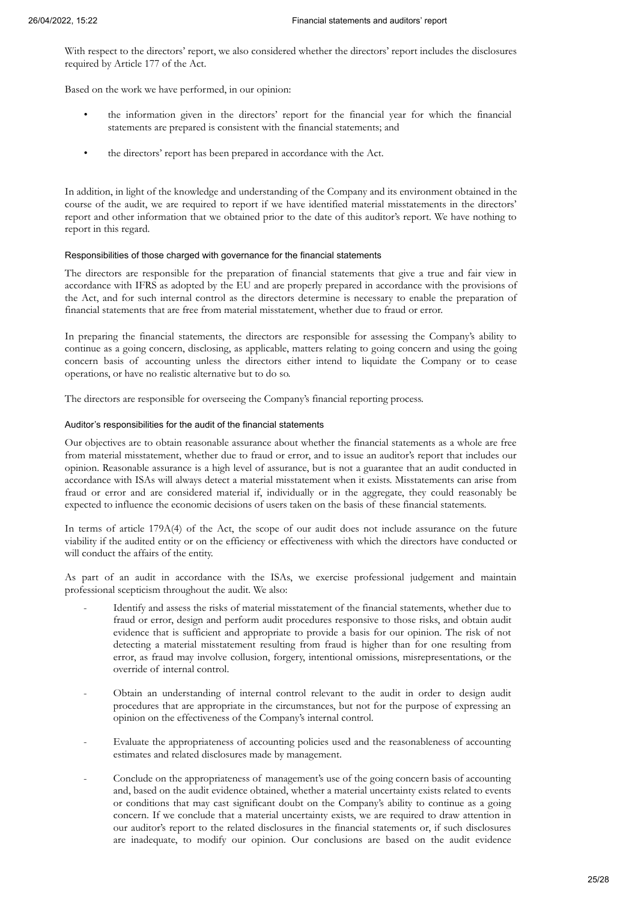With respect to the directors' report, we also considered whether the directors' report includes the disclosures required by Article 177 of the Act.

Based on the work we have performed, in our opinion:

- the information given in the directors' report for the financial year for which the financial statements are prepared is consistent with the financial statements; and
- the directors' report has been prepared in accordance with the Act.

In addition, in light of the knowledge and understanding of the Company and its environment obtained in the course of the audit, we are required to report if we have identified material misstatements in the directors' report and other information that we obtained prior to the date of this auditor's report. We have nothing to report in this regard.

#### Responsibilities of those charged with governance for the financial statements

The directors are responsible for the preparation of financial statements that give a true and fair view in accordance with IFRS as adopted by the EU and are properly prepared in accordance with the provisions of the Act, and for such internal control as the directors determine is necessary to enable the preparation of financial statements that are free from material misstatement, whether due to fraud or error.

In preparing the financial statements, the directors are responsible for assessing the Company's ability to continue as a going concern, disclosing, as applicable, matters relating to going concern and using the going concern basis of accounting unless the directors either intend to liquidate the Company or to cease operations, or have no realistic alternative but to do so.

The directors are responsible for overseeing the Company's financial reporting process.

#### Auditor's responsibilities for the audit of the financial statements

Our objectives are to obtain reasonable assurance about whether the financial statements as a whole are free from material misstatement, whether due to fraud or error, and to issue an auditor's report that includes our opinion. Reasonable assurance is a high level of assurance, but is not a guarantee that an audit conducted in accordance with ISAs will always detect a material misstatement when it exists. Misstatements can arise from fraud or error and are considered material if, individually or in the aggregate, they could reasonably be expected to influence the economic decisions of users taken on the basis of these financial statements.

In terms of article 179A(4) of the Act, the scope of our audit does not include assurance on the future viability if the audited entity or on the efficiency or effectiveness with which the directors have conducted or will conduct the affairs of the entity.

As part of an audit in accordance with the ISAs, we exercise professional judgement and maintain professional scepticism throughout the audit. We also:

- Identify and assess the risks of material misstatement of the financial statements, whether due to fraud or error, design and perform audit procedures responsive to those risks, and obtain audit evidence that is sufficient and appropriate to provide a basis for our opinion. The risk of not detecting a material misstatement resulting from fraud is higher than for one resulting from error, as fraud may involve collusion, forgery, intentional omissions, misrepresentations, or the override of internal control.
- Obtain an understanding of internal control relevant to the audit in order to design audit procedures that are appropriate in the circumstances, but not for the purpose of expressing an opinion on the effectiveness of the Company's internal control.
- Evaluate the appropriateness of accounting policies used and the reasonableness of accounting estimates and related disclosures made by management.
- Conclude on the appropriateness of management's use of the going concern basis of accounting and, based on the audit evidence obtained, whether a material uncertainty exists related to events or conditions that may cast significant doubt on the Company's ability to continue as a going concern. If we conclude that a material uncertainty exists, we are required to draw attention in our auditor's report to the related disclosures in the financial statements or, if such disclosures are inadequate, to modify our opinion. Our conclusions are based on the audit evidence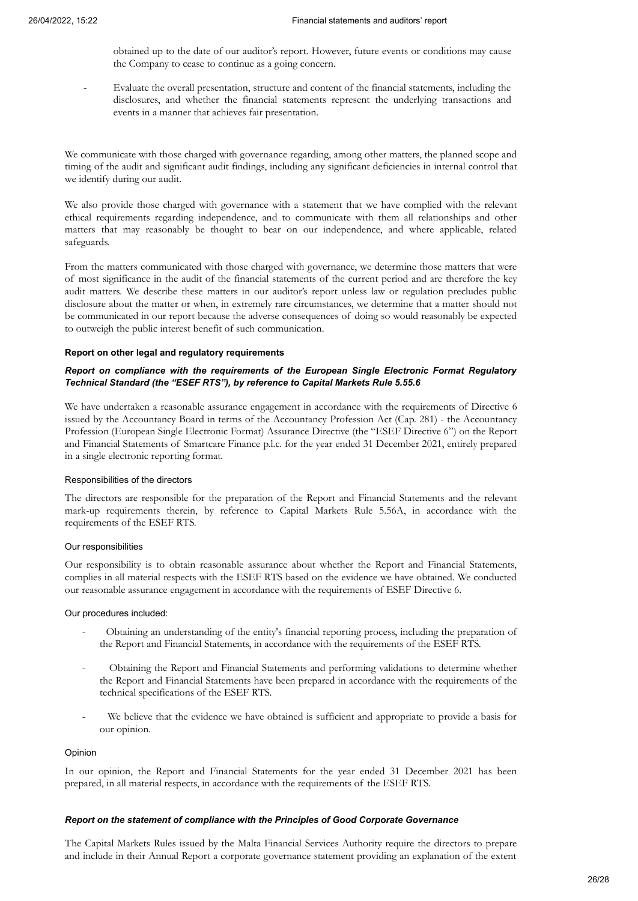- obtained up to the date of our auditor's report. However, future events or conditions may cause the Company to cease to continue as a going concern.
- Evaluate the overall presentation, structure and content of the financial statements, including the disclosures, and whether the financial statements represent the underlying transactions and events in a manner that achieves fair presentation.

We communicate with those charged with governance regarding, among other matters, the planned scope and timing of the audit and significant audit findings, including any significant deficiencies in internal control that we identify during our audit.

We also provide those charged with governance with a statement that we have complied with the relevant ethical requirements regarding independence, and to communicate with them all relationships and other matters that may reasonably be thought to bear on our independence, and where applicable, related safeguards.

From the matters communicated with those charged with governance, we determine those matters that were of most significance in the audit of the financial statements of the current period and are therefore the key audit matters. We describe these matters in our auditor's report unless law or regulation precludes public disclosure about the matter or when, in extremely rare circumstances, we determine that a matter should not be communicated in our report because the adverse consequences of doing so would reasonably be expected to outweigh the public interest benefit of such communication.

#### **Report on other legal and regulatory requirements**

#### *Report on compliance with the requirements of the European Single Electronic Format Regulatory Technical Standard (the "ESEF RTS"), by reference to Capital Markets Rule 5.55.6*

We have undertaken a reasonable assurance engagement in accordance with the requirements of Directive 6 issued by the Accountancy Board in terms of the Accountancy Profession Act (Cap. 281) - the Accountancy Profession (European Single Electronic Format) Assurance Directive (the "ESEF Directive 6") on the Report and Financial Statements of Smartcare Finance p.l.c. for the year ended 31 December 2021, entirely prepared in a single electronic reporting format.

#### Responsibilities of the directors

The directors are responsible for the preparation of the Report and Financial Statements and the relevant mark-up requirements therein, by reference to Capital Markets Rule 5.56A, in accordance with the requirements of the ESEF RTS.

#### Our responsibilities

Our responsibility is to obtain reasonable assurance about whether the Report and Financial Statements, complies in all material respects with the ESEF RTS based on the evidence we have obtained. We conducted our reasonable assurance engagement in accordance with the requirements of ESEF Directive 6.

#### Our procedures included:

- Obtaining an understanding of the entity's financial reporting process, including the preparation of the Report and Financial Statements, in accordance with the requirements of the ESEF RTS.
- Obtaining the Report and Financial Statements and performing validations to determine whether the Report and Financial Statements have been prepared in accordance with the requirements of the technical specifications of the ESEF RTS.
- We believe that the evidence we have obtained is sufficient and appropriate to provide a basis for our opinion.

#### Opinion

In our opinion, the Report and Financial Statements for the year ended 31 December 2021 has been prepared, in all material respects, in accordance with the requirements of the ESEF RTS.

#### *Report on the statement of compliance with the Principles of Good Corporate Governance*

The Capital Markets Rules issued by the Malta Financial Services Authority require the directors to prepare and include in their Annual Report a corporate governance statement providing an explanation of the extent